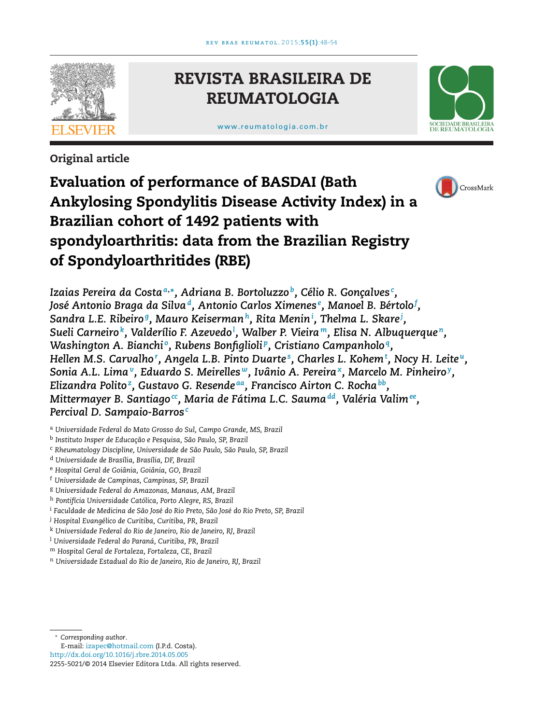

# **REVISTA BRASILEIRA DE REUMATOLOGIA**

[www.reumatologia.com.br](http://www.reumatologia.com.br)



**Original article**

# **Evaluation of performance of BASDAI (Bath Ankylosing Spondylitis Disease Activity Index) in a Brazilian cohort of 1492 patients with spondyloarthritis: data from the Brazilian Registry of Spondyloarthritides (RBE)**



*Izaias Pereira da Costa<sup>a</sup>***,∗***, Adriana B. Bortoluzzo b, Célio R. Gonc¸alves<sup>c</sup> , José Antonio Braga da Silvad, Antonio Carlos Ximenes<sup>e</sup> , Manoel B. Bértolo<sup>f</sup> , Sandra L.E. Ribeiro g, Mauro Keisermanh, Rita Menin<sup>i</sup> , Thelma L. Skare<sup>j</sup> , Sueli Carneiro k, Valderílio F. Azevedo<sup>l</sup> , Walber P. Vieira m, Elisa N. Albuquerque n, Washington A. Bianchi<sup>o</sup>, Rubens Bonfiglioli<sup>p</sup>, Cristiano Campanholo<sup>q</sup>,* Hellen M.S. Carvalho', [A](#page-1-0)ngela L.B. Pinto Duarte°, [Ch](#page-1-0)arles L. Kohem†, [N](#page-1-0)ocy H. Leite", *Sonia A.L. Lima[v,](#page-1-0) Eduardo S. Meirelles [w,](#page-1-0) Ivânio A. Pereira[x,](#page-1-0) Marcelo M. Pinheiro [y,](#page-1-0) Elizandra Polito[z,](#page-1-0) Gustavo G. Resende [aa,](#page-1-0) Francisco Airton C. Rocha[bb,](#page-1-0) Mittermayer B. Santiago[cc,](#page-1-0) Maria de Fátima L.C. Sauma[dd,](#page-1-0) Valéria Valim[ee,](#page-1-0) Percival D. Sampaio-Barros<sup>c</sup>*

<sup>a</sup> *Universidade Federal do Mato Grosso do Sul, Campo Grande, MS, Brazil*

<sup>b</sup> *Instituto Insper de Educac¸ão e Pesquisa, São Paulo, SP, Brazil*

<sup>c</sup> *Rheumatology Discipline, Universidade de São Paulo, São Paulo, SP, Brazil*

<sup>d</sup> *Universidade de Brasília, Brasília, DF, Brazil*

<sup>e</sup> *Hospital Geral de Goiânia, Goiânia, GO, Brazil*

- <sup>f</sup> *Universidade de Campinas, Campinas, SP, Brazil*
- <sup>g</sup> *Universidade Federal do Amazonas, Manaus, AM, Brazil*
- <sup>h</sup> *Pontifícia Universidade Católica, Porto Alegre, RS, Brazil*
- <sup>i</sup> *Faculdade de Medicina de São José do Rio Preto, São José do Rio Preto, SP, Brazil*
- <sup>j</sup> *Hospital Evangélico de Curitiba, Curitiba, PR, Brazil*
- <sup>k</sup> *Universidade Federal do Rio de Janeiro, Rio de Janeiro, RJ, Brazil*
- <sup>l</sup> *Universidade Federal do Paraná, Curitiba, PR, Brazil*

<sup>m</sup> *Hospital Geral de Fortaleza, Fortaleza, CE, Brazil*

<sup>n</sup> *Universidade Estadual do Rio de Janeiro, Rio de Janeiro, RJ, Brazil*

∗ *Corresponding author*.

E-mail: [izapec@hotmail.com](mailto:izapec@hotmail.com) (I.P.d. Costa).

[http://dx.doi.org/10.1016/j.rbre.2014.05.005](dx.doi.org/10.1016/j.rbre.2014.05.005)

<sup>2255-5021/©</sup> 2014 Elsevier Editora Ltda. All rights reserved.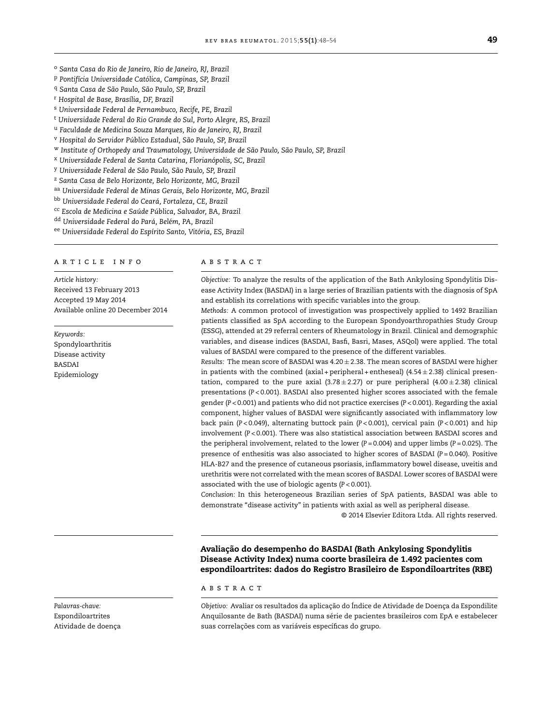- <span id="page-1-0"></span><sup>o</sup> *Santa Casa do Rio de Janeiro, Rio de Janeiro, RJ, Brazil*
- <sup>p</sup> *Pontifícia Universidade Católica, Campinas, SP, Brazil*
- <sup>q</sup> *Santa Casa de São Paulo, São Paulo, SP, Brazil*
- <sup>r</sup> *Hospital de Base, Brasília, DF, Brazil*
- <sup>s</sup> *Universidade Federal de Pernambuco, Recife, PE, Brazil*
- <sup>t</sup> *Universidade Federal do Rio Grande do Sul, Porto Alegre, RS, Brazil*
- <sup>u</sup> *Faculdade de Medicina Souza Marques, Rio de Janeiro, RJ, Brazil*
- <sup>v</sup> *Hospital do Servidor Público Estadual, São Paulo, SP, Brazil*
- <sup>w</sup> *Institute of Orthopedy and Traumatology, Universidade de São Paulo, São Paulo, SP, Brazil*
- <sup>x</sup> *Universidade Federal de Santa Catarina, Florianópolis, SC, Brazil*
- <sup>y</sup> *Universidade Federal de São Paulo, São Paulo, SP, Brazil*
- <sup>z</sup> *Santa Casa de Belo Horizonte, Belo Horizonte, MG, Brazil*
- aa *Universidade Federal de Minas Gerais, Belo Horizonte, MG, Brazil*
- bb *Universidade Federal do Ceará, Fortaleza, CE, Brazil*
- cc *Escola de Medicina e Saúde Pública, Salvador, BA, Brazil*

dd *Universidade Federal do Pará, Belém, PA, Brazil*

ee *Universidade Federal do Espírito Santo, Vitória, ES, Brazil*

### a r t i c l e i n f o

*Article history:* Received 13 February 2013 Accepted 19 May 2014 Available online 20 December 2014

*Keywords:* Spondyloarthritis Disease activity BASDAI Epidemiology

#### A B S T R A C T

*Objective:* To analyze the results of the application of the Bath Ankylosing Spondylitis Disease Activity Index (BASDAI) in a large series of Brazilian patients with the diagnosis of SpA and establish its correlations with specific variables into the group.

*Methods:* A common protocol of investigation was prospectively applied to 1492 Brazilian patients classified as SpA according to the European Spondyoarthropathies Study Group (ESSG), attended at 29 referral centers of Rheumatology in Brazil. Clinical and demographic variables, and disease indices (BASDAI, Basfi, Basri, Mases, ASQol) were applied. The total values of BASDAI were compared to the presence of the different variables.

*Results:* The mean score of BASDAI was 4.20 ± 2.38. The mean scores of BASDAI were higher in patients with the combined (axial + peripheral + entheseal) (4.54  $\pm$  2.38) clinical presentation, compared to the pure axial  $(3.78 \pm 2.27)$  or pure peripheral  $(4.00 \pm 2.38)$  clinical presentations (*P* < 0.001). BASDAI also presented higher scores associated with the female gender (*P* < 0.001) and patients who did not practice exercises (*P* < 0.001). Regarding the axial component, higher values of BASDAI were significantly associated with inflammatory low back pain (*P* < 0.049), alternating buttock pain (*P* < 0.001), cervical pain (*P* < 0.001) and hip involvement (*P* < 0.001). There was also statistical association between BASDAI scores and the peripheral involvement, related to the lower (*P* = 0.004) and upper limbs (*P* = 0.025). The presence of enthesitis was also associated to higher scores of BASDAI (*P* = 0.040). Positive HLA-B27 and the presence of cutaneous psoriasis, inflammatory bowel disease, uveitis and urethritis were not correlated with the mean scores of BASDAI. Lower scores of BASDAI were associated with the use of biologic agents (*P* < 0.001).

*Conclusion:* In this heterogeneous Brazilian series of SpA patients, BASDAI was able to demonstrate "disease activity" in patients with axial as well as peripheral disease.

© 2014 Elsevier Editora Ltda. All rights reserved.

**Avaliac¸ão do desempenho do BASDAI (Bath Ankylosing Spondylitis Disease Activity Index) numa coorte brasileira de 1.492 pacientes com espondiloartrites: dados do Registro Brasileiro de Espondiloartrites (RBE)**

#### a b s t r a c t

Objetivo: Avaliar os resultados da aplicação do Índice de Atividade de Doença da Espondilite Anquilosante de Bath (BASDAI) numa série de pacientes brasileiros com EpA e estabelecer suas correlações com as variáveis específicas do grupo.

*Palavras-chave:* Espondiloartrites Atividade de doença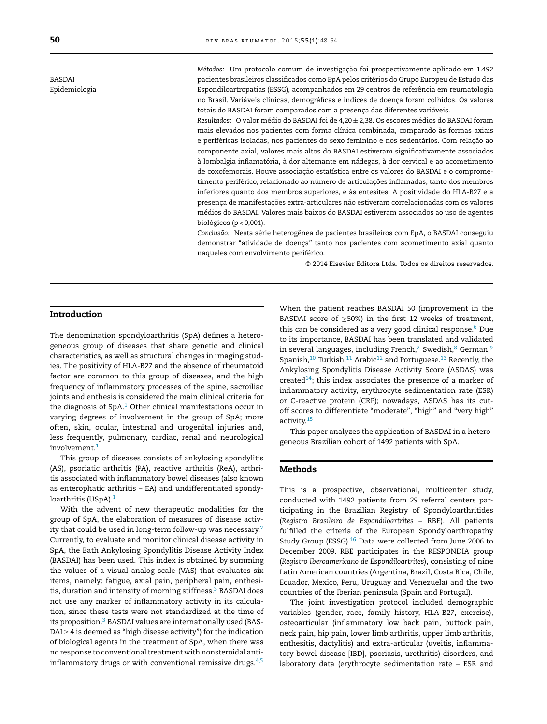BASDAI Epidemiologia *Métodos:* Um protocolo comum de investigac¸ão foi prospectivamente aplicado em 1.492 pacientes brasileiros classificados como EpA pelos critérios do Grupo Europeu de Estudo das Espondiloartropatias (ESSG), acompanhados em 29 centros de referência em reumatologia no Brasil. Variáveis clínicas, demográficas e índices de doença foram colhidos. Os valores totais do BASDAI foram comparados com a presença das diferentes variáveis.

*Resultados:* O valor médio do BASDAI foi de 4,20 ± 2,38. Os escores médios do BASDAI foram mais elevados nos pacientes com forma clínica combinada, comparado às formas axiais e periféricas isoladas, nos pacientes do sexo feminino e nos sedentários. Com relação ao componente axial, valores mais altos do BASDAI estiveram significativamente associados à lombalgia inflamatória, à dor alternante em nádegas, à dor cervical e ao acometimento de coxofemorais. Houve associação estatística entre os valores do BASDAI e o comprometimento periférico, relacionado ao número de articulações inflamadas, tanto dos membros inferiores quanto dos membros superiores, e às entesites. A positividade do HLA-B27 e a presença de manifestações extra-articulares não estiveram correlacionadas com os valores médios do BASDAI. Valores mais baixos do BASDAI estiveram associados ao uso de agentes biológicos ( $p < 0.001$ ).

*Conclusão:* Nesta série heterogênea de pacientes brasileiros com EpA, o BASDAI conseguiu demonstrar "atividade de doença" tanto nos pacientes com acometimento axial quanto naqueles com envolvimento periférico.

© 2014 Elsevier Editora Ltda. Todos os direitos reservados.

## **Introduction**

The denomination spondyloarthritis (SpA) defines a heterogeneous group of diseases that share genetic and clinical characteristics, as well as structural changes in imaging studies. The positivity of HLA-B27 and the absence of rheumatoid factor are common to this group of diseases, and the high frequency of inflammatory processes of the spine, sacroiliac joints and enthesis is considered the main clinical criteria for the diagnosis of  $SpA<sup>1</sup>$  $SpA<sup>1</sup>$  $SpA<sup>1</sup>$  Other clinical manifestations occur in varying degrees of involvement in the group of SpA; more often, skin, ocular, intestinal and urogenital injuries and, less frequently, pulmonary, cardiac, renal and neurological involvement.<sup>[1](#page-5-0)</sup>

This group of diseases consists of ankylosing spondylitis (AS), psoriatic arthritis (PA), reactive arthritis (ReA), arthritis associated with inflammatory bowel diseases (also known as enterophatic arthritis – EA) and undifferentiated spondy-loarthritis (USpA).<sup>[1](#page-5-0)</sup>

With the advent of new therapeutic modalities for the group of SpA, the elaboration of measures of disease activity that could be used in long-term follow-up was necessary. $2$ Currently, to evaluate and monitor clinical disease activity in SpA, the Bath Ankylosing Spondylitis Disease Activity Index (BASDAI) has been used. This index is obtained by summing the values of a visual analog scale (VAS) that evaluates six items, namely: fatigue, axial pain, peripheral pain, enthesi-tis, duration and intensity of morning stiffness.<sup>[3](#page-5-0)</sup> BASDAI does not use any marker of inflammatory activity in its calculation, since these tests were not standardized at the time of its proposition.<sup>3</sup> BASDAI values are internationally used (BAS- $DAI \geq 4$  is deemed as "high disease activity") for the indication of biological agents in the treatment of SpA, when there was no response to conventional treatment with nonsteroidal antiinflammatory drugs or with conventional remissive drugs. $4,5$  When the patient reaches BASDAI 50 (improvement in the BASDAI score of  $\geq$ 50%) in the first 12 weeks of treatment, this can be considered as a very good clinical response.<sup>[6](#page-5-0)</sup> Due to its importance, BASDAI has been translated and validated in several languages, including French,<sup>[7](#page-5-0)</sup> Swedish, $8$  German, $9$ Spanish,<sup>10</sup> Turkish,<sup>[11](#page-5-0)</sup> Arabic<sup>12</sup> and Portuguese.<sup>13</sup> Recently, the Ankylosing Spondylitis Disease Activity Score (ASDAS) was created $14$ ; this index associates the presence of a marker of inflammatory activity, erythrocyte sedimentation rate (ESR) or C-reactive protein (CRP); nowadays, ASDAS has its cutoff scores to differentiate "moderate", "high" and "very high" activity.[15](#page-5-0)

This paper analyzes the application of BASDAI in a heterogeneous Brazilian cohort of 1492 patients with SpA.

# **Methods**

This is a prospective, observational, multicenter study, conducted with 1492 patients from 29 referral centers participating in the Brazilian Registry of Spondyloarthritides (*Registro Brasileiro de Espondiloartrites* – RBE). All patients fulfilled the criteria of the European Spondyloarthropathy Study Group (ESSG)[.16](#page-5-0) Data were collected from June 2006 to December 2009. RBE participates in the RESPONDIA group (*Registro Iberoamericano de Espondiloartrites*), consisting of nine Latin American countries (Argentina, Brazil, Costa Rica, Chile, Ecuador, Mexico, Peru, Uruguay and Venezuela) and the two countries of the Iberian peninsula (Spain and Portugal).

The joint investigation protocol included demographic variables (gender, race, family history, HLA-B27, exercise), osteoarticular (inflammatory low back pain, buttock pain, neck pain, hip pain, lower limb arthritis, upper limb arthritis, enthesitis, dactylitis) and extra-articular (uveitis, inflammatory bowel disease [IBD], psoriasis, urethritis) disorders, and laboratory data (erythrocyte sedimentation rate – ESR and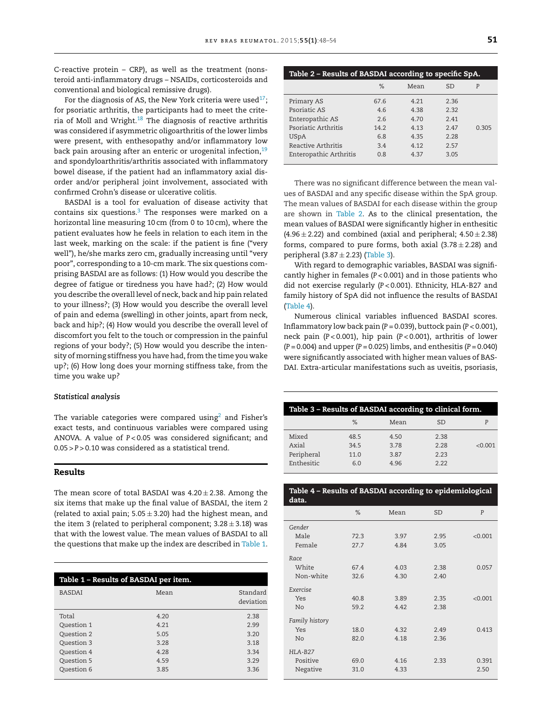C-reactive protein – CRP), as well as the treatment (nonsteroid anti-inflammatory drugs – NSAIDs, corticosteroids and conventional and biological remissive drugs).

For the diagnosis of AS, the New York criteria were used<sup>17</sup>; for psoriatic arthritis, the participants had to meet the criteria of Moll and Wright. $18$  The diagnosis of reactive arthritis was considered if asymmetric oligoarthritis of the lower limbs were present, with enthesopathy and/or inflammatory low back pain arousing after an enteric or urogenital infection,<sup>[19](#page-5-0)</sup> and spondyloarthritis/arthritis associated with inflammatory bowel disease, if the patient had an inflammatory axial disorder and/or peripheral joint involvement, associated with confirmed Crohn's disease or ulcerative colitis.

BASDAI is a tool for evaluation of disease activity that contains six questions[.3](#page-5-0) The responses were marked on a horizontal line measuring 10 cm (from 0 to 10 cm), where the patient evaluates how he feels in relation to each item in the last week, marking on the scale: if the patient is fine ("very well"), he/she marks zero cm, gradually increasing until "very poor", corresponding to a 10-cm mark. The six questions comprising BASDAI are as follows: (1) How would you describe the degree of fatigue or tiredness you have had?; (2) How would you describe the overall level of neck, back and hip pain related to your illness?; (3) How would you describe the overall level of pain and edema (swelling) in other joints, apart from neck, back and hip?; (4) How would you describe the overall level of discomfort you felt to the touch or compression in the painful regions of your body?; (5) How would you describe the intensity of morning stiffness you have had, from the time you wake up?; (6) How long does your morning stiffness take, from the time you wake up?

## *Statistical analysis*

The variable categories were compared using<sup>2</sup> and Fisher's exact tests, and continuous variables were compared using ANOVA. A value of *P* < 0.05 was considered significant; and 0.05 > *P* > 0.10 was considered as a statistical trend.

## **Results**

The mean score of total BASDAI was  $4.20 \pm 2.38$ . Among the six items that make up the final value of BASDAI, the item 2 (related to axial pain;  $5.05 \pm 3.20$ ) had the highest mean, and the item 3 (related to peripheral component;  $3.28 \pm 3.18$ ) was that with the lowest value. The mean values of BASDAI to all the questions that make up the index are described in Table 1.

| Table 1 - Results of BASDAI per item. |      |                       |  |  |
|---------------------------------------|------|-----------------------|--|--|
| <b>BASDAI</b>                         | Mean | Standard<br>deviation |  |  |
| Total                                 | 4.20 | 2.38                  |  |  |
| Question 1                            | 4.21 | 2.99                  |  |  |
| Question 2                            | 5.05 | 3.20                  |  |  |
| Question 3                            | 3.28 | 3.18                  |  |  |
| Question 4                            | 4.28 | 3.34                  |  |  |
| Question 5                            | 4.59 | 3.29                  |  |  |
| Question 6                            | 3.85 | 3.36                  |  |  |

| Table 2 - Results of BASDAI according to specific SpA. |      |       |           |       |
|--------------------------------------------------------|------|-------|-----------|-------|
|                                                        | $\%$ | Mean  | <b>SD</b> | P     |
| Primary AS                                             | 67.6 | 4.21  | 2.36      |       |
| Psoriatic AS                                           | 4.6  | 4.38  | 2.32      |       |
| Enteropathic AS                                        | 2.6  | 4 7 0 | 2.41      |       |
| Psoriatic Arthritis                                    | 14.2 | 4.13  | 2.47      | 0.305 |
| <b>USpA</b>                                            | 6.8  | 4.35  | 2.28      |       |
| Reactive Arthritis                                     | 3.4  | 4.12  | 2.57      |       |
| Enteropathic Arthritis                                 | 0.8  | 4.37  | 3.05      |       |

There was no significant difference between the mean values of BASDAI and any specific disease within the SpA group. The mean values of BASDAI for each disease within the group are shown in Table 2. As to the clinical presentation, the mean values of BASDAI were significantly higher in enthesitic  $(4.96 \pm 2.22)$  and combined (axial and peripheral;  $4.50 \pm 2.38$ ) forms, compared to pure forms, both axial  $(3.78 \pm 2.28)$  and peripheral (3.87  $\pm$  2.23) (Table 3).

With regard to demographic variables, BASDAI was significantly higher in females (*P* < 0.001) and in those patients who did not exercise regularly (*P* < 0.001). Ethnicity, HLA-B27 and family history of SpA did not influence the results of BASDAI (Table 4).

Numerous clinical variables influenced BASDAI scores. Inflammatory low back pain (*P* = 0.039), buttock pain (*P* < 0.001), neck pain (*P* < 0.001), hip pain (*P* < 0.001), arthritis of lower (*P* = 0.004) and upper (*P* = 0.025) limbs, and enthesitis (*P* = 0.040) were significantly associated with higher mean values of BAS-DAI. Extra-articular manifestations such as uveitis, psoriasis,

| Table 3 - Results of BASDAI according to clinical form. |              |             |             |         |
|---------------------------------------------------------|--------------|-------------|-------------|---------|
|                                                         | $\%$         | Mean        | <b>SD</b>   |         |
| Mixed<br>Axial                                          | 48.5<br>34.5 | 4.50<br>378 | 2.38<br>228 | < 0.001 |
| Peripheral                                              | 11.0         | 3.87        | 2.23        |         |
| Enthesitic                                              | 6.0          | 4 9 6       | 222         |         |

|       | Table 4 - Results of BASDAI according to epidemiological |
|-------|----------------------------------------------------------|
| data. |                                                          |

|                | %    | Mean | <b>SD</b> | P       |
|----------------|------|------|-----------|---------|
| Gender         |      |      |           |         |
| Male           | 72.3 | 3.97 | 2.95      | < 0.001 |
| Female         | 27.7 | 4.84 | 3.05      |         |
| Race           |      |      |           |         |
| White          | 67.4 | 4.03 | 2.38      | 0.057   |
| Non-white      | 32.6 | 4.30 | 2.40      |         |
| Exercise       |      |      |           |         |
| Yes            | 40.8 | 3.89 | 2.35      | < 0.001 |
| No             | 59.2 | 4.42 | 2.38      |         |
| Family history |      |      |           |         |
| Yes            | 18.0 | 4.32 | 2.49      | 0.413   |
| No             | 82.0 | 4.18 | 2.36      |         |
| HLA-B27        |      |      |           |         |
| Positive       | 69.0 | 4.16 | 2.33      | 0.391   |
| Negative       | 31.0 | 4.33 |           | 2.50    |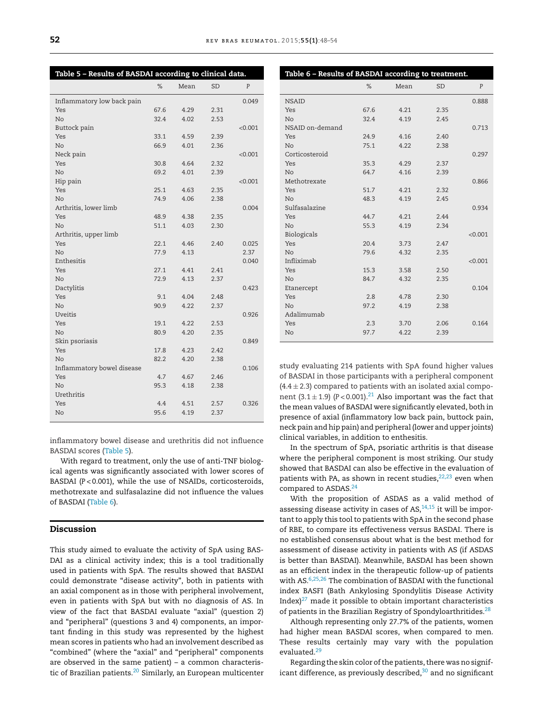| Table 5 – Results of BASDAI according to clinical data. |      |      |           |         |
|---------------------------------------------------------|------|------|-----------|---------|
|                                                         | $\%$ | Mean | <b>SD</b> | P       |
| Inflammatory low back pain                              |      |      |           | 0.049   |
| Yes                                                     | 67.6 | 4.29 | 2.31      |         |
| No.                                                     | 32.4 | 4.02 | 2.53      |         |
| Buttock pain                                            |      |      |           | < 0.001 |
| Yes                                                     | 33.1 | 4.59 | 2.39      |         |
| N <sub>o</sub>                                          | 66.9 | 4.01 | 2.36      |         |
| Neck pain                                               |      |      |           | < 0.001 |
| Yes                                                     | 30.8 | 4.64 | 2.32      |         |
| No                                                      | 69.2 | 4.01 | 2.39      |         |
| Hip pain                                                |      |      |           | < 0.001 |
| Yes                                                     | 25.1 | 4.63 | 2.35      |         |
| N <sub>o</sub>                                          | 74.9 | 4.06 | 2.38      |         |
| Arthritis, lower limb                                   |      |      |           | 0.004   |
| Yes                                                     | 48.9 | 4.38 | 2.35      |         |
| N <sub>o</sub>                                          | 51.1 | 4.03 | 2.30      |         |
| Arthritis, upper limb                                   |      |      |           |         |
| Yes                                                     | 22.1 | 4.46 | 2.40      | 0.025   |
| No                                                      | 77.9 | 4.13 |           | 2.37    |
| Enthesitis                                              |      |      |           | 0.040   |
| Yes                                                     | 27.1 | 4.41 | 2.41      |         |
| N <sub>o</sub>                                          | 72.9 | 4.13 | 2.37      |         |
| Dactylitis                                              |      |      |           | 0.423   |
| Yes                                                     | 9.1  | 4.04 | 2.48      |         |
| N <sub>o</sub>                                          | 90.9 | 4.22 | 2.37      |         |
| Uveitis                                                 |      |      |           | 0.926   |
| Yes                                                     | 19.1 | 4.22 | 2.53      |         |
| No.                                                     | 80.9 | 4.20 | 2.35      |         |
| Skin psoriasis                                          |      |      |           | 0.849   |
| Yes                                                     | 17.8 | 4.23 | 2.42      |         |
| No.                                                     | 82.2 | 4.20 | 2.38      |         |
| Inflammatory bowel disease                              |      |      |           | 0.106   |
| Yes                                                     | 4.7  | 4.67 | 2.46      |         |
| N <sub>o</sub>                                          | 95.3 | 4.18 | 2.38      |         |
| Urethritis                                              |      |      |           |         |
| Yes                                                     | 4.4  | 4.51 | 2.57      | 0.326   |
| No                                                      | 95.6 | 4.19 | 2.37      |         |

inflammatory bowel disease and urethritis did not influence BASDAI scores (Table 5).

With regard to treatment, only the use of anti-TNF biological agents was significantly associated with lower scores of BASDAI (*P* < 0.001), while the use of NSAIDs, corticosteroids, methotrexate and sulfasalazine did not influence the values of BASDAI (Table 6).

# **Discussion**

This study aimed to evaluate the activity of SpA using BAS-DAI as a clinical activity index; this is a tool traditionally used in patients with SpA. The results showed that BASDAI could demonstrate "disease activity", both in patients with an axial component as in those with peripheral involvement, even in patients with SpA but with no diagnosis of AS. In view of the fact that BASDAI evaluate "axial" (question 2) and "peripheral" (questions 3 and 4) components, an important finding in this study was represented by the highest mean scores in patients who had an involvement described as "combined" (where the "axial" and "peripheral" components are observed in the same patient) – a common characteristic of Brazilian patients.<sup>20</sup> Similarly, an European multicenter

| Table 6 - Results of BASDAI according to treatment. |      |      |           |              |
|-----------------------------------------------------|------|------|-----------|--------------|
|                                                     | %    | Mean | <b>SD</b> | $\mathbf{P}$ |
| <b>NSAID</b>                                        |      |      |           | 0.888        |
| Yes                                                 | 67.6 | 4.21 | 2.35      |              |
| No                                                  | 32.4 | 4.19 | 2.45      |              |
| NSAID on-demand                                     |      |      |           | 0.713        |
| Yes                                                 | 24.9 | 4.16 | 2.40      |              |
| No                                                  | 75.1 | 4.22 | 2.38      |              |
| Corticosteroid                                      |      |      |           | 0.297        |
| Yes                                                 | 35.3 | 4.29 | 2.37      |              |
| No                                                  | 64.7 | 4.16 | 2.39      |              |
| Methotrexate                                        |      |      |           | 0.866        |
| Yes                                                 | 51.7 | 4.21 | 2.32      |              |
| No                                                  | 48.3 | 4.19 | 2.45      |              |
| Sulfasalazine                                       |      |      |           | 0.934        |
| Yes                                                 | 44.7 | 4.21 | 2.44      |              |
| No                                                  | 55.3 | 4.19 | 2.34      |              |
| Biologicals                                         |      |      |           | < 0.001      |
| Yes                                                 | 20.4 | 3.73 | 2.47      |              |
| No                                                  | 79.6 | 4.32 | 2.35      |              |
| Infliximab                                          |      |      |           | < 0.001      |
| Yes                                                 | 15.3 | 3.58 | 2.50      |              |
| N <sub>o</sub>                                      | 84.7 | 4.32 | 2.35      |              |
| Etanercept                                          |      |      |           | 0.104        |
| Yes                                                 | 2.8  | 4.78 | 2.30      |              |
| N <sub>o</sub>                                      | 97.2 | 4.19 | 2.38      |              |
| Adalimumab                                          |      |      |           |              |
| Yes                                                 | 2.3  | 3.70 | 2.06      | 0.164        |
| No                                                  | 97.7 | 4.22 | 2.39      |              |

study evaluating 214 patients with SpA found higher values of BASDAI in those participants with a peripheral component  $(4.4 \pm 2.3)$  compared to patients with an isolated axial component  $(3.1 \pm 1.9)$   $(P < 0.001)$ .<sup>21</sup> Also important was the fact that the mean values of BASDAI were significantly elevated, both in presence of axial (inflammatory low back pain, buttock pain, neck pain and hip pain) and peripheral (lower and upper joints) clinical variables, in addition to enthesitis.

In the spectrum of SpA, psoriatic arthritis is that disease where the peripheral component is most striking. Our study showed that BASDAI can also be effective in the evaluation of patients with PA, as shown in recent studies, $22,23$  even when compared to ASDAS.<sup>[24](#page-5-0)</sup>

With the proposition of ASDAS as a valid method of assessing disease activity in cases of  $AS<sub>14,15</sub>$  $AS<sub>14,15</sub>$  $AS<sub>14,15</sub>$  it will be important to apply this tool to patients with SpA in the second phase of RBE, to compare its effectiveness versus BASDAI. There is no established consensus about what is the best method for assessment of disease activity in patients with AS (if ASDAS is better than BASDAI). Meanwhile, BASDAI has been shown as an efficient index in the therapeutic follow-up of patients with AS.[6,25,26](#page-5-0) The combination of BASDAI with the functional index BASFI (Bath Ankylosing Spondylitis Disease Activity Index $)^{27}$  made it possible to obtain important characteristics of patients in the Brazilian Registry of Spondyloarthritides.<sup>[28](#page-6-0)</sup>

Although representing only 27.7% of the patients, women had higher mean BASDAI scores, when compared to men. These results certainly may vary with the population evaluated.[29](#page-6-0)

Regarding the skin color of the patients, there was no significant difference, as previously described, $30$  and no significant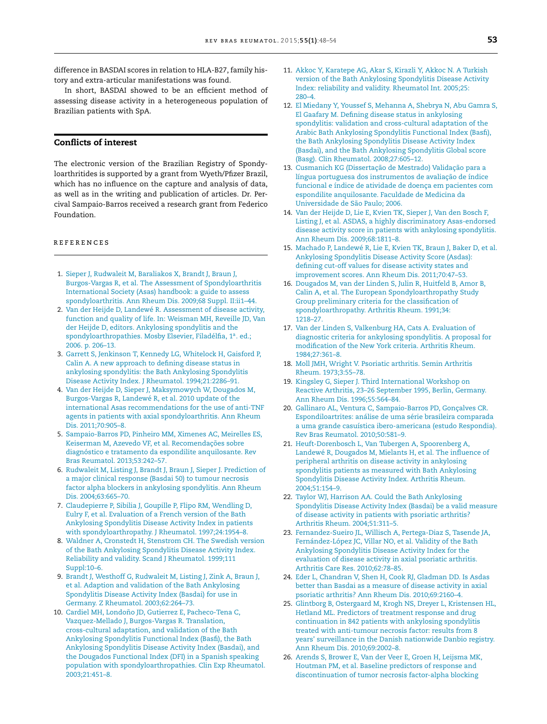<span id="page-5-0"></span>difference in BASDAI scores in relation to HLA-B27, family history and extra-articular manifestations was found.

In short, BASDAI showed to be an efficient method of assessing disease activity in a heterogeneous population of Brazilian patients with SpA.

# **Conflicts of interest**

The electronic version of the Brazilian Registry of Spondyloarthritides is supported by a grant from Wyeth/Pfizer Brazil, which has no influence on the capture and analysis of data, as well as in the writing and publication of articles. Dr. Percival Sampaio-Barros received a research grant from Federico Foundation.

### r e f e r enc e s

- 1. [Sieper](http://refhub.elsevier.com/S2255-5021(14)00183-7/sbref0005) [J,](http://refhub.elsevier.com/S2255-5021(14)00183-7/sbref0005) [Rudwaleit](http://refhub.elsevier.com/S2255-5021(14)00183-7/sbref0005) [M,](http://refhub.elsevier.com/S2255-5021(14)00183-7/sbref0005) [Baraliakos](http://refhub.elsevier.com/S2255-5021(14)00183-7/sbref0005) [X,](http://refhub.elsevier.com/S2255-5021(14)00183-7/sbref0005) [Brandt](http://refhub.elsevier.com/S2255-5021(14)00183-7/sbref0005) [J,](http://refhub.elsevier.com/S2255-5021(14)00183-7/sbref0005) [Braun](http://refhub.elsevier.com/S2255-5021(14)00183-7/sbref0005) [J,](http://refhub.elsevier.com/S2255-5021(14)00183-7/sbref0005) [Burgos-Vargas](http://refhub.elsevier.com/S2255-5021(14)00183-7/sbref0005) [R,](http://refhub.elsevier.com/S2255-5021(14)00183-7/sbref0005) [et](http://refhub.elsevier.com/S2255-5021(14)00183-7/sbref0005) [al.](http://refhub.elsevier.com/S2255-5021(14)00183-7/sbref0005) [The](http://refhub.elsevier.com/S2255-5021(14)00183-7/sbref0005) [Assessment](http://refhub.elsevier.com/S2255-5021(14)00183-7/sbref0005) [of](http://refhub.elsevier.com/S2255-5021(14)00183-7/sbref0005) [Spondyloarthritis](http://refhub.elsevier.com/S2255-5021(14)00183-7/sbref0005) [International](http://refhub.elsevier.com/S2255-5021(14)00183-7/sbref0005) [Society](http://refhub.elsevier.com/S2255-5021(14)00183-7/sbref0005) [\(Asas\)](http://refhub.elsevier.com/S2255-5021(14)00183-7/sbref0005) [handbook:](http://refhub.elsevier.com/S2255-5021(14)00183-7/sbref0005) [a](http://refhub.elsevier.com/S2255-5021(14)00183-7/sbref0005) [guide](http://refhub.elsevier.com/S2255-5021(14)00183-7/sbref0005) [to](http://refhub.elsevier.com/S2255-5021(14)00183-7/sbref0005) [assess](http://refhub.elsevier.com/S2255-5021(14)00183-7/sbref0005) [spondyloarthritis.](http://refhub.elsevier.com/S2255-5021(14)00183-7/sbref0005) [Ann](http://refhub.elsevier.com/S2255-5021(14)00183-7/sbref0005) [Rheum](http://refhub.elsevier.com/S2255-5021(14)00183-7/sbref0005) [Dis.](http://refhub.elsevier.com/S2255-5021(14)00183-7/sbref0005) [2009;68](http://refhub.elsevier.com/S2255-5021(14)00183-7/sbref0005) [Suppl.](http://refhub.elsevier.com/S2255-5021(14)00183-7/sbref0005) [II:ii1](http://refhub.elsevier.com/S2255-5021(14)00183-7/sbref0005)–[44.](http://refhub.elsevier.com/S2255-5021(14)00183-7/sbref0005)
- 2. [Van](http://refhub.elsevier.com/S2255-5021(14)00183-7/sbref0010) [der](http://refhub.elsevier.com/S2255-5021(14)00183-7/sbref0010) [Heijde](http://refhub.elsevier.com/S2255-5021(14)00183-7/sbref0010) [D,](http://refhub.elsevier.com/S2255-5021(14)00183-7/sbref0010) [Landewé](http://refhub.elsevier.com/S2255-5021(14)00183-7/sbref0010) [R.](http://refhub.elsevier.com/S2255-5021(14)00183-7/sbref0010) [Assessment](http://refhub.elsevier.com/S2255-5021(14)00183-7/sbref0010) [of](http://refhub.elsevier.com/S2255-5021(14)00183-7/sbref0010) [disease](http://refhub.elsevier.com/S2255-5021(14)00183-7/sbref0010) [activity,](http://refhub.elsevier.com/S2255-5021(14)00183-7/sbref0010) [function](http://refhub.elsevier.com/S2255-5021(14)00183-7/sbref0010) [and](http://refhub.elsevier.com/S2255-5021(14)00183-7/sbref0010) [quality](http://refhub.elsevier.com/S2255-5021(14)00183-7/sbref0010) [of](http://refhub.elsevier.com/S2255-5021(14)00183-7/sbref0010) [life.](http://refhub.elsevier.com/S2255-5021(14)00183-7/sbref0010) [In:](http://refhub.elsevier.com/S2255-5021(14)00183-7/sbref0010) [Weisman](http://refhub.elsevier.com/S2255-5021(14)00183-7/sbref0010) [MH,](http://refhub.elsevier.com/S2255-5021(14)00183-7/sbref0010) [Reveille](http://refhub.elsevier.com/S2255-5021(14)00183-7/sbref0010) [JD,](http://refhub.elsevier.com/S2255-5021(14)00183-7/sbref0010) [Van](http://refhub.elsevier.com/S2255-5021(14)00183-7/sbref0010) [der](http://refhub.elsevier.com/S2255-5021(14)00183-7/sbref0010) [Heijde](http://refhub.elsevier.com/S2255-5021(14)00183-7/sbref0010) [D,](http://refhub.elsevier.com/S2255-5021(14)00183-7/sbref0010) [editors.](http://refhub.elsevier.com/S2255-5021(14)00183-7/sbref0010) [Ankylosing](http://refhub.elsevier.com/S2255-5021(14)00183-7/sbref0010) [spondylitis](http://refhub.elsevier.com/S2255-5021(14)00183-7/sbref0010) [and](http://refhub.elsevier.com/S2255-5021(14)00183-7/sbref0010) [the](http://refhub.elsevier.com/S2255-5021(14)00183-7/sbref0010) [spondyloarthropathies.](http://refhub.elsevier.com/S2255-5021(14)00183-7/sbref0010) [Mosby](http://refhub.elsevier.com/S2255-5021(14)00183-7/sbref0010) [Elsevier,](http://refhub.elsevier.com/S2255-5021(14)00183-7/sbref0010) [Filadélfia,](http://refhub.elsevier.com/S2255-5021(14)00183-7/sbref0010) 1ª. [ed.;](http://refhub.elsevier.com/S2255-5021(14)00183-7/sbref0010) [2006.](http://refhub.elsevier.com/S2255-5021(14)00183-7/sbref0010) [p.](http://refhub.elsevier.com/S2255-5021(14)00183-7/sbref0010) [206](http://refhub.elsevier.com/S2255-5021(14)00183-7/sbref0010)–[13.](http://refhub.elsevier.com/S2255-5021(14)00183-7/sbref0010)
- 3. [Garrett](http://refhub.elsevier.com/S2255-5021(14)00183-7/sbref0015) [S,](http://refhub.elsevier.com/S2255-5021(14)00183-7/sbref0015) [Jenkinson](http://refhub.elsevier.com/S2255-5021(14)00183-7/sbref0015) [T,](http://refhub.elsevier.com/S2255-5021(14)00183-7/sbref0015) [Kennedy](http://refhub.elsevier.com/S2255-5021(14)00183-7/sbref0015) [LG,](http://refhub.elsevier.com/S2255-5021(14)00183-7/sbref0015) [Whitelock](http://refhub.elsevier.com/S2255-5021(14)00183-7/sbref0015) [H,](http://refhub.elsevier.com/S2255-5021(14)00183-7/sbref0015) [Gaisford](http://refhub.elsevier.com/S2255-5021(14)00183-7/sbref0015) [P,](http://refhub.elsevier.com/S2255-5021(14)00183-7/sbref0015) [Calin](http://refhub.elsevier.com/S2255-5021(14)00183-7/sbref0015) [A.](http://refhub.elsevier.com/S2255-5021(14)00183-7/sbref0015) [A](http://refhub.elsevier.com/S2255-5021(14)00183-7/sbref0015) [new](http://refhub.elsevier.com/S2255-5021(14)00183-7/sbref0015) [approach](http://refhub.elsevier.com/S2255-5021(14)00183-7/sbref0015) [to](http://refhub.elsevier.com/S2255-5021(14)00183-7/sbref0015) [defining](http://refhub.elsevier.com/S2255-5021(14)00183-7/sbref0015) [disease](http://refhub.elsevier.com/S2255-5021(14)00183-7/sbref0015) [status](http://refhub.elsevier.com/S2255-5021(14)00183-7/sbref0015) [in](http://refhub.elsevier.com/S2255-5021(14)00183-7/sbref0015) [ankylosing](http://refhub.elsevier.com/S2255-5021(14)00183-7/sbref0015) [spondylitis:](http://refhub.elsevier.com/S2255-5021(14)00183-7/sbref0015) [the](http://refhub.elsevier.com/S2255-5021(14)00183-7/sbref0015) [Bath](http://refhub.elsevier.com/S2255-5021(14)00183-7/sbref0015) [Ankylosing](http://refhub.elsevier.com/S2255-5021(14)00183-7/sbref0015) [Spondylitis](http://refhub.elsevier.com/S2255-5021(14)00183-7/sbref0015) [Disease](http://refhub.elsevier.com/S2255-5021(14)00183-7/sbref0015) [Activity](http://refhub.elsevier.com/S2255-5021(14)00183-7/sbref0015) [Index.](http://refhub.elsevier.com/S2255-5021(14)00183-7/sbref0015) [J](http://refhub.elsevier.com/S2255-5021(14)00183-7/sbref0015) [Rheumatol.](http://refhub.elsevier.com/S2255-5021(14)00183-7/sbref0015) [1994;21:2286–91.](http://refhub.elsevier.com/S2255-5021(14)00183-7/sbref0015)
- 4. [Van](http://refhub.elsevier.com/S2255-5021(14)00183-7/sbref0020) [der](http://refhub.elsevier.com/S2255-5021(14)00183-7/sbref0020) [Heijde](http://refhub.elsevier.com/S2255-5021(14)00183-7/sbref0020) [D,](http://refhub.elsevier.com/S2255-5021(14)00183-7/sbref0020) [Sieper](http://refhub.elsevier.com/S2255-5021(14)00183-7/sbref0020) [J,](http://refhub.elsevier.com/S2255-5021(14)00183-7/sbref0020) [Maksymowych](http://refhub.elsevier.com/S2255-5021(14)00183-7/sbref0020) [W,](http://refhub.elsevier.com/S2255-5021(14)00183-7/sbref0020) [Dougados](http://refhub.elsevier.com/S2255-5021(14)00183-7/sbref0020) [M,](http://refhub.elsevier.com/S2255-5021(14)00183-7/sbref0020) [Burgos-Vargas](http://refhub.elsevier.com/S2255-5021(14)00183-7/sbref0020) [R,](http://refhub.elsevier.com/S2255-5021(14)00183-7/sbref0020) [Landewé](http://refhub.elsevier.com/S2255-5021(14)00183-7/sbref0020) [R,](http://refhub.elsevier.com/S2255-5021(14)00183-7/sbref0020) [et](http://refhub.elsevier.com/S2255-5021(14)00183-7/sbref0020) [al.](http://refhub.elsevier.com/S2255-5021(14)00183-7/sbref0020) [2010](http://refhub.elsevier.com/S2255-5021(14)00183-7/sbref0020) [update](http://refhub.elsevier.com/S2255-5021(14)00183-7/sbref0020) [of](http://refhub.elsevier.com/S2255-5021(14)00183-7/sbref0020) [the](http://refhub.elsevier.com/S2255-5021(14)00183-7/sbref0020) [international](http://refhub.elsevier.com/S2255-5021(14)00183-7/sbref0020) [Asas](http://refhub.elsevier.com/S2255-5021(14)00183-7/sbref0020) [recommendations](http://refhub.elsevier.com/S2255-5021(14)00183-7/sbref0020) [for](http://refhub.elsevier.com/S2255-5021(14)00183-7/sbref0020) [the](http://refhub.elsevier.com/S2255-5021(14)00183-7/sbref0020) [use](http://refhub.elsevier.com/S2255-5021(14)00183-7/sbref0020) [of](http://refhub.elsevier.com/S2255-5021(14)00183-7/sbref0020) [anti-TNF](http://refhub.elsevier.com/S2255-5021(14)00183-7/sbref0020) [agents](http://refhub.elsevier.com/S2255-5021(14)00183-7/sbref0020) [in](http://refhub.elsevier.com/S2255-5021(14)00183-7/sbref0020) [patients](http://refhub.elsevier.com/S2255-5021(14)00183-7/sbref0020) [with](http://refhub.elsevier.com/S2255-5021(14)00183-7/sbref0020) [axial](http://refhub.elsevier.com/S2255-5021(14)00183-7/sbref0020) [spondyloarthritis.](http://refhub.elsevier.com/S2255-5021(14)00183-7/sbref0020) [Ann](http://refhub.elsevier.com/S2255-5021(14)00183-7/sbref0020) [Rheum](http://refhub.elsevier.com/S2255-5021(14)00183-7/sbref0020) [Dis.](http://refhub.elsevier.com/S2255-5021(14)00183-7/sbref0020) [2011;70:905–8.](http://refhub.elsevier.com/S2255-5021(14)00183-7/sbref0020)
- 5. [Sampaio-Barros](http://refhub.elsevier.com/S2255-5021(14)00183-7/sbref0025) [PD,](http://refhub.elsevier.com/S2255-5021(14)00183-7/sbref0025) [Pinheiro](http://refhub.elsevier.com/S2255-5021(14)00183-7/sbref0025) [MM,](http://refhub.elsevier.com/S2255-5021(14)00183-7/sbref0025) [Ximenes](http://refhub.elsevier.com/S2255-5021(14)00183-7/sbref0025) [AC,](http://refhub.elsevier.com/S2255-5021(14)00183-7/sbref0025) [Meirelles](http://refhub.elsevier.com/S2255-5021(14)00183-7/sbref0025) [ES,](http://refhub.elsevier.com/S2255-5021(14)00183-7/sbref0025) [Keiserman](http://refhub.elsevier.com/S2255-5021(14)00183-7/sbref0025) [M,](http://refhub.elsevier.com/S2255-5021(14)00183-7/sbref0025) [Azevedo](http://refhub.elsevier.com/S2255-5021(14)00183-7/sbref0025) [VF,](http://refhub.elsevier.com/S2255-5021(14)00183-7/sbref0025) [et](http://refhub.elsevier.com/S2255-5021(14)00183-7/sbref0025) [al.](http://refhub.elsevier.com/S2255-5021(14)00183-7/sbref0025) Recomendações [sobre](http://refhub.elsevier.com/S2255-5021(14)00183-7/sbref0025) [diagnóstico](http://refhub.elsevier.com/S2255-5021(14)00183-7/sbref0025) [e](http://refhub.elsevier.com/S2255-5021(14)00183-7/sbref0025) [tratamento](http://refhub.elsevier.com/S2255-5021(14)00183-7/sbref0025) [da](http://refhub.elsevier.com/S2255-5021(14)00183-7/sbref0025) [espondilite](http://refhub.elsevier.com/S2255-5021(14)00183-7/sbref0025) [anquilosante.](http://refhub.elsevier.com/S2255-5021(14)00183-7/sbref0025) [Rev](http://refhub.elsevier.com/S2255-5021(14)00183-7/sbref0025) [Bras](http://refhub.elsevier.com/S2255-5021(14)00183-7/sbref0025) [Reumatol.](http://refhub.elsevier.com/S2255-5021(14)00183-7/sbref0025) [2013;53:242–57.](http://refhub.elsevier.com/S2255-5021(14)00183-7/sbref0025)
- 6. [Rudwaleit](http://refhub.elsevier.com/S2255-5021(14)00183-7/sbref0030) [M,](http://refhub.elsevier.com/S2255-5021(14)00183-7/sbref0030) [Listing](http://refhub.elsevier.com/S2255-5021(14)00183-7/sbref0030) [J,](http://refhub.elsevier.com/S2255-5021(14)00183-7/sbref0030) [Brandt](http://refhub.elsevier.com/S2255-5021(14)00183-7/sbref0030) [J,](http://refhub.elsevier.com/S2255-5021(14)00183-7/sbref0030) [Braun](http://refhub.elsevier.com/S2255-5021(14)00183-7/sbref0030) [J,](http://refhub.elsevier.com/S2255-5021(14)00183-7/sbref0030) [Sieper](http://refhub.elsevier.com/S2255-5021(14)00183-7/sbref0030) [J.](http://refhub.elsevier.com/S2255-5021(14)00183-7/sbref0030) [Prediction](http://refhub.elsevier.com/S2255-5021(14)00183-7/sbref0030) [of](http://refhub.elsevier.com/S2255-5021(14)00183-7/sbref0030) [a](http://refhub.elsevier.com/S2255-5021(14)00183-7/sbref0030) [major](http://refhub.elsevier.com/S2255-5021(14)00183-7/sbref0030) [clinical](http://refhub.elsevier.com/S2255-5021(14)00183-7/sbref0030) [response](http://refhub.elsevier.com/S2255-5021(14)00183-7/sbref0030) [\(Basdai](http://refhub.elsevier.com/S2255-5021(14)00183-7/sbref0030) [50\)](http://refhub.elsevier.com/S2255-5021(14)00183-7/sbref0030) [to](http://refhub.elsevier.com/S2255-5021(14)00183-7/sbref0030) [tumour](http://refhub.elsevier.com/S2255-5021(14)00183-7/sbref0030) [necrosis](http://refhub.elsevier.com/S2255-5021(14)00183-7/sbref0030) [factor](http://refhub.elsevier.com/S2255-5021(14)00183-7/sbref0030) [alpha](http://refhub.elsevier.com/S2255-5021(14)00183-7/sbref0030) [blockers](http://refhub.elsevier.com/S2255-5021(14)00183-7/sbref0030) [in](http://refhub.elsevier.com/S2255-5021(14)00183-7/sbref0030) [ankylosing](http://refhub.elsevier.com/S2255-5021(14)00183-7/sbref0030) [spondylitis.](http://refhub.elsevier.com/S2255-5021(14)00183-7/sbref0030) [Ann](http://refhub.elsevier.com/S2255-5021(14)00183-7/sbref0030) [Rheum](http://refhub.elsevier.com/S2255-5021(14)00183-7/sbref0030) [Dis.](http://refhub.elsevier.com/S2255-5021(14)00183-7/sbref0030) [2004;63:665–70.](http://refhub.elsevier.com/S2255-5021(14)00183-7/sbref0030)
- 7. [Claudepierre](http://refhub.elsevier.com/S2255-5021(14)00183-7/sbref0035) [P,](http://refhub.elsevier.com/S2255-5021(14)00183-7/sbref0035) [Sibilia](http://refhub.elsevier.com/S2255-5021(14)00183-7/sbref0035) [J,](http://refhub.elsevier.com/S2255-5021(14)00183-7/sbref0035) [Goupille](http://refhub.elsevier.com/S2255-5021(14)00183-7/sbref0035) [P,](http://refhub.elsevier.com/S2255-5021(14)00183-7/sbref0035) [Flipo](http://refhub.elsevier.com/S2255-5021(14)00183-7/sbref0035) [RM,](http://refhub.elsevier.com/S2255-5021(14)00183-7/sbref0035) [Wendling](http://refhub.elsevier.com/S2255-5021(14)00183-7/sbref0035) [D,](http://refhub.elsevier.com/S2255-5021(14)00183-7/sbref0035) [Eulry](http://refhub.elsevier.com/S2255-5021(14)00183-7/sbref0035) [F,](http://refhub.elsevier.com/S2255-5021(14)00183-7/sbref0035) [et](http://refhub.elsevier.com/S2255-5021(14)00183-7/sbref0035) [al.](http://refhub.elsevier.com/S2255-5021(14)00183-7/sbref0035) [Evaluation](http://refhub.elsevier.com/S2255-5021(14)00183-7/sbref0035) [of](http://refhub.elsevier.com/S2255-5021(14)00183-7/sbref0035) [a](http://refhub.elsevier.com/S2255-5021(14)00183-7/sbref0035) [French](http://refhub.elsevier.com/S2255-5021(14)00183-7/sbref0035) [version](http://refhub.elsevier.com/S2255-5021(14)00183-7/sbref0035) [of](http://refhub.elsevier.com/S2255-5021(14)00183-7/sbref0035) [the](http://refhub.elsevier.com/S2255-5021(14)00183-7/sbref0035) [Bath](http://refhub.elsevier.com/S2255-5021(14)00183-7/sbref0035) [Ankylosing](http://refhub.elsevier.com/S2255-5021(14)00183-7/sbref0035) [Spondylitis](http://refhub.elsevier.com/S2255-5021(14)00183-7/sbref0035) [Disease](http://refhub.elsevier.com/S2255-5021(14)00183-7/sbref0035) [Activity](http://refhub.elsevier.com/S2255-5021(14)00183-7/sbref0035) [Index](http://refhub.elsevier.com/S2255-5021(14)00183-7/sbref0035) [in](http://refhub.elsevier.com/S2255-5021(14)00183-7/sbref0035) [patients](http://refhub.elsevier.com/S2255-5021(14)00183-7/sbref0035) [with](http://refhub.elsevier.com/S2255-5021(14)00183-7/sbref0035) [spondyloarthropathy.](http://refhub.elsevier.com/S2255-5021(14)00183-7/sbref0035) [J](http://refhub.elsevier.com/S2255-5021(14)00183-7/sbref0035) [Rheumatol.](http://refhub.elsevier.com/S2255-5021(14)00183-7/sbref0035) [1997;24:1954–8.](http://refhub.elsevier.com/S2255-5021(14)00183-7/sbref0035)
- 8. [Waldner](http://refhub.elsevier.com/S2255-5021(14)00183-7/sbref0040) [A,](http://refhub.elsevier.com/S2255-5021(14)00183-7/sbref0040) [Cronstedt](http://refhub.elsevier.com/S2255-5021(14)00183-7/sbref0040) [H,](http://refhub.elsevier.com/S2255-5021(14)00183-7/sbref0040) [Stenstrom](http://refhub.elsevier.com/S2255-5021(14)00183-7/sbref0040) [CH.](http://refhub.elsevier.com/S2255-5021(14)00183-7/sbref0040) [The](http://refhub.elsevier.com/S2255-5021(14)00183-7/sbref0040) [Swedish](http://refhub.elsevier.com/S2255-5021(14)00183-7/sbref0040) [version](http://refhub.elsevier.com/S2255-5021(14)00183-7/sbref0040) [of](http://refhub.elsevier.com/S2255-5021(14)00183-7/sbref0040) [the](http://refhub.elsevier.com/S2255-5021(14)00183-7/sbref0040) [Bath](http://refhub.elsevier.com/S2255-5021(14)00183-7/sbref0040) [Ankylosing](http://refhub.elsevier.com/S2255-5021(14)00183-7/sbref0040) [Spondylitis](http://refhub.elsevier.com/S2255-5021(14)00183-7/sbref0040) [Disease](http://refhub.elsevier.com/S2255-5021(14)00183-7/sbref0040) [Activity](http://refhub.elsevier.com/S2255-5021(14)00183-7/sbref0040) [Index.](http://refhub.elsevier.com/S2255-5021(14)00183-7/sbref0040) [Reliability](http://refhub.elsevier.com/S2255-5021(14)00183-7/sbref0040) [and](http://refhub.elsevier.com/S2255-5021(14)00183-7/sbref0040) [validity.](http://refhub.elsevier.com/S2255-5021(14)00183-7/sbref0040) [Scand](http://refhub.elsevier.com/S2255-5021(14)00183-7/sbref0040) [J](http://refhub.elsevier.com/S2255-5021(14)00183-7/sbref0040) [Rheumatol.](http://refhub.elsevier.com/S2255-5021(14)00183-7/sbref0040) [1999;111](http://refhub.elsevier.com/S2255-5021(14)00183-7/sbref0040) [Suppl:10](http://refhub.elsevier.com/S2255-5021(14)00183-7/sbref0040)–[6.](http://refhub.elsevier.com/S2255-5021(14)00183-7/sbref0040)
- 9. [Brandt](http://refhub.elsevier.com/S2255-5021(14)00183-7/sbref0045) [J,](http://refhub.elsevier.com/S2255-5021(14)00183-7/sbref0045) [Westhoff](http://refhub.elsevier.com/S2255-5021(14)00183-7/sbref0045) [G,](http://refhub.elsevier.com/S2255-5021(14)00183-7/sbref0045) [Rudwaleit](http://refhub.elsevier.com/S2255-5021(14)00183-7/sbref0045) [M,](http://refhub.elsevier.com/S2255-5021(14)00183-7/sbref0045) [Listing](http://refhub.elsevier.com/S2255-5021(14)00183-7/sbref0045) [J,](http://refhub.elsevier.com/S2255-5021(14)00183-7/sbref0045) [Zink](http://refhub.elsevier.com/S2255-5021(14)00183-7/sbref0045) [A,](http://refhub.elsevier.com/S2255-5021(14)00183-7/sbref0045) [Braun](http://refhub.elsevier.com/S2255-5021(14)00183-7/sbref0045) [J,](http://refhub.elsevier.com/S2255-5021(14)00183-7/sbref0045) [et](http://refhub.elsevier.com/S2255-5021(14)00183-7/sbref0045) [al.](http://refhub.elsevier.com/S2255-5021(14)00183-7/sbref0045) [Adaption](http://refhub.elsevier.com/S2255-5021(14)00183-7/sbref0045) [and](http://refhub.elsevier.com/S2255-5021(14)00183-7/sbref0045) [validation](http://refhub.elsevier.com/S2255-5021(14)00183-7/sbref0045) [of](http://refhub.elsevier.com/S2255-5021(14)00183-7/sbref0045) [the](http://refhub.elsevier.com/S2255-5021(14)00183-7/sbref0045) [Bath](http://refhub.elsevier.com/S2255-5021(14)00183-7/sbref0045) [Ankylosing](http://refhub.elsevier.com/S2255-5021(14)00183-7/sbref0045) [Spondylitis](http://refhub.elsevier.com/S2255-5021(14)00183-7/sbref0045) [Disease](http://refhub.elsevier.com/S2255-5021(14)00183-7/sbref0045) [Activity](http://refhub.elsevier.com/S2255-5021(14)00183-7/sbref0045) [Index](http://refhub.elsevier.com/S2255-5021(14)00183-7/sbref0045) [\(Basdai\)](http://refhub.elsevier.com/S2255-5021(14)00183-7/sbref0045) [for](http://refhub.elsevier.com/S2255-5021(14)00183-7/sbref0045) [use](http://refhub.elsevier.com/S2255-5021(14)00183-7/sbref0045) [in](http://refhub.elsevier.com/S2255-5021(14)00183-7/sbref0045) [Germany.](http://refhub.elsevier.com/S2255-5021(14)00183-7/sbref0045) [Z](http://refhub.elsevier.com/S2255-5021(14)00183-7/sbref0045) [Rheumatol.](http://refhub.elsevier.com/S2255-5021(14)00183-7/sbref0045) [2003;62:264](http://refhub.elsevier.com/S2255-5021(14)00183-7/sbref0045)–[73.](http://refhub.elsevier.com/S2255-5021(14)00183-7/sbref0045)
- 10. [Cardiel](http://refhub.elsevier.com/S2255-5021(14)00183-7/sbref0050) [MH,](http://refhub.elsevier.com/S2255-5021(14)00183-7/sbref0050) Londoño [JD,](http://refhub.elsevier.com/S2255-5021(14)00183-7/sbref0050) [Gutierrez](http://refhub.elsevier.com/S2255-5021(14)00183-7/sbref0050) [E,](http://refhub.elsevier.com/S2255-5021(14)00183-7/sbref0050) [Pacheco-Tena](http://refhub.elsevier.com/S2255-5021(14)00183-7/sbref0050) [C,](http://refhub.elsevier.com/S2255-5021(14)00183-7/sbref0050) [Vazquez-Mellado](http://refhub.elsevier.com/S2255-5021(14)00183-7/sbref0050) [J,](http://refhub.elsevier.com/S2255-5021(14)00183-7/sbref0050) [Burgos-Vargas](http://refhub.elsevier.com/S2255-5021(14)00183-7/sbref0050) [R.](http://refhub.elsevier.com/S2255-5021(14)00183-7/sbref0050) [Translation,](http://refhub.elsevier.com/S2255-5021(14)00183-7/sbref0050) [cross-cultural](http://refhub.elsevier.com/S2255-5021(14)00183-7/sbref0050) [adaptation,](http://refhub.elsevier.com/S2255-5021(14)00183-7/sbref0050) [and](http://refhub.elsevier.com/S2255-5021(14)00183-7/sbref0050) [validation](http://refhub.elsevier.com/S2255-5021(14)00183-7/sbref0050) [of](http://refhub.elsevier.com/S2255-5021(14)00183-7/sbref0050) [the](http://refhub.elsevier.com/S2255-5021(14)00183-7/sbref0050) [Bath](http://refhub.elsevier.com/S2255-5021(14)00183-7/sbref0050) [Ankylosing](http://refhub.elsevier.com/S2255-5021(14)00183-7/sbref0050) [Spondylitis](http://refhub.elsevier.com/S2255-5021(14)00183-7/sbref0050) [Functional](http://refhub.elsevier.com/S2255-5021(14)00183-7/sbref0050) [Index](http://refhub.elsevier.com/S2255-5021(14)00183-7/sbref0050) [\(Basfi\),](http://refhub.elsevier.com/S2255-5021(14)00183-7/sbref0050) [the](http://refhub.elsevier.com/S2255-5021(14)00183-7/sbref0050) [Bath](http://refhub.elsevier.com/S2255-5021(14)00183-7/sbref0050) [Ankylosing](http://refhub.elsevier.com/S2255-5021(14)00183-7/sbref0050) [Spondylitis](http://refhub.elsevier.com/S2255-5021(14)00183-7/sbref0050) [Disease](http://refhub.elsevier.com/S2255-5021(14)00183-7/sbref0050) [Activity](http://refhub.elsevier.com/S2255-5021(14)00183-7/sbref0050) [Index](http://refhub.elsevier.com/S2255-5021(14)00183-7/sbref0050) [\(Basdai\),](http://refhub.elsevier.com/S2255-5021(14)00183-7/sbref0050) [and](http://refhub.elsevier.com/S2255-5021(14)00183-7/sbref0050) [the](http://refhub.elsevier.com/S2255-5021(14)00183-7/sbref0050) [Dougados](http://refhub.elsevier.com/S2255-5021(14)00183-7/sbref0050) [Functional](http://refhub.elsevier.com/S2255-5021(14)00183-7/sbref0050) [Index](http://refhub.elsevier.com/S2255-5021(14)00183-7/sbref0050) [\(DFI\)](http://refhub.elsevier.com/S2255-5021(14)00183-7/sbref0050) [in](http://refhub.elsevier.com/S2255-5021(14)00183-7/sbref0050) [a](http://refhub.elsevier.com/S2255-5021(14)00183-7/sbref0050) [Spanish](http://refhub.elsevier.com/S2255-5021(14)00183-7/sbref0050) [speaking](http://refhub.elsevier.com/S2255-5021(14)00183-7/sbref0050) [population](http://refhub.elsevier.com/S2255-5021(14)00183-7/sbref0050) [with](http://refhub.elsevier.com/S2255-5021(14)00183-7/sbref0050) [spondyloarthropathies.](http://refhub.elsevier.com/S2255-5021(14)00183-7/sbref0050) [Clin](http://refhub.elsevier.com/S2255-5021(14)00183-7/sbref0050) [Exp](http://refhub.elsevier.com/S2255-5021(14)00183-7/sbref0050) [Rheumatol.](http://refhub.elsevier.com/S2255-5021(14)00183-7/sbref0050) [2003;21:451–8.](http://refhub.elsevier.com/S2255-5021(14)00183-7/sbref0050)
- 11. [Akkoc](http://refhub.elsevier.com/S2255-5021(14)00183-7/sbref0055) [Y,](http://refhub.elsevier.com/S2255-5021(14)00183-7/sbref0055) [Karatepe](http://refhub.elsevier.com/S2255-5021(14)00183-7/sbref0055) [AG,](http://refhub.elsevier.com/S2255-5021(14)00183-7/sbref0055) [Akar](http://refhub.elsevier.com/S2255-5021(14)00183-7/sbref0055) [S,](http://refhub.elsevier.com/S2255-5021(14)00183-7/sbref0055) [Kirazli](http://refhub.elsevier.com/S2255-5021(14)00183-7/sbref0055) [Y,](http://refhub.elsevier.com/S2255-5021(14)00183-7/sbref0055) [Akkoc](http://refhub.elsevier.com/S2255-5021(14)00183-7/sbref0055) [N.](http://refhub.elsevier.com/S2255-5021(14)00183-7/sbref0055) [A](http://refhub.elsevier.com/S2255-5021(14)00183-7/sbref0055) [Turkish](http://refhub.elsevier.com/S2255-5021(14)00183-7/sbref0055) [version](http://refhub.elsevier.com/S2255-5021(14)00183-7/sbref0055) [of](http://refhub.elsevier.com/S2255-5021(14)00183-7/sbref0055) [the](http://refhub.elsevier.com/S2255-5021(14)00183-7/sbref0055) [Bath](http://refhub.elsevier.com/S2255-5021(14)00183-7/sbref0055) [Ankylosing](http://refhub.elsevier.com/S2255-5021(14)00183-7/sbref0055) [Spondylitis](http://refhub.elsevier.com/S2255-5021(14)00183-7/sbref0055) [Disease](http://refhub.elsevier.com/S2255-5021(14)00183-7/sbref0055) [Activity](http://refhub.elsevier.com/S2255-5021(14)00183-7/sbref0055) [Index:](http://refhub.elsevier.com/S2255-5021(14)00183-7/sbref0055) [reliability](http://refhub.elsevier.com/S2255-5021(14)00183-7/sbref0055) [and](http://refhub.elsevier.com/S2255-5021(14)00183-7/sbref0055) [validity.](http://refhub.elsevier.com/S2255-5021(14)00183-7/sbref0055) [Rheumatol](http://refhub.elsevier.com/S2255-5021(14)00183-7/sbref0055) [Int.](http://refhub.elsevier.com/S2255-5021(14)00183-7/sbref0055) [2005;25:](http://refhub.elsevier.com/S2255-5021(14)00183-7/sbref0055) [280–4.](http://refhub.elsevier.com/S2255-5021(14)00183-7/sbref0055)
- 12. [El](http://refhub.elsevier.com/S2255-5021(14)00183-7/sbref0060) [Miedany](http://refhub.elsevier.com/S2255-5021(14)00183-7/sbref0060) [Y,](http://refhub.elsevier.com/S2255-5021(14)00183-7/sbref0060) [Youssef](http://refhub.elsevier.com/S2255-5021(14)00183-7/sbref0060) [S,](http://refhub.elsevier.com/S2255-5021(14)00183-7/sbref0060) [Mehanna](http://refhub.elsevier.com/S2255-5021(14)00183-7/sbref0060) [A,](http://refhub.elsevier.com/S2255-5021(14)00183-7/sbref0060) [Shebrya](http://refhub.elsevier.com/S2255-5021(14)00183-7/sbref0060) [N,](http://refhub.elsevier.com/S2255-5021(14)00183-7/sbref0060) [Abu](http://refhub.elsevier.com/S2255-5021(14)00183-7/sbref0060) [Gamra](http://refhub.elsevier.com/S2255-5021(14)00183-7/sbref0060) [S,](http://refhub.elsevier.com/S2255-5021(14)00183-7/sbref0060) [El](http://refhub.elsevier.com/S2255-5021(14)00183-7/sbref0060) [Gaafary](http://refhub.elsevier.com/S2255-5021(14)00183-7/sbref0060) [M.](http://refhub.elsevier.com/S2255-5021(14)00183-7/sbref0060) [Defining](http://refhub.elsevier.com/S2255-5021(14)00183-7/sbref0060) [disease](http://refhub.elsevier.com/S2255-5021(14)00183-7/sbref0060) [status](http://refhub.elsevier.com/S2255-5021(14)00183-7/sbref0060) [in](http://refhub.elsevier.com/S2255-5021(14)00183-7/sbref0060) [ankylosing](http://refhub.elsevier.com/S2255-5021(14)00183-7/sbref0060) [spondylitis:](http://refhub.elsevier.com/S2255-5021(14)00183-7/sbref0060) [validation](http://refhub.elsevier.com/S2255-5021(14)00183-7/sbref0060) [and](http://refhub.elsevier.com/S2255-5021(14)00183-7/sbref0060) [cross-cultural](http://refhub.elsevier.com/S2255-5021(14)00183-7/sbref0060) [adaptation](http://refhub.elsevier.com/S2255-5021(14)00183-7/sbref0060) [of](http://refhub.elsevier.com/S2255-5021(14)00183-7/sbref0060) [the](http://refhub.elsevier.com/S2255-5021(14)00183-7/sbref0060) [Arabic](http://refhub.elsevier.com/S2255-5021(14)00183-7/sbref0060) [Bath](http://refhub.elsevier.com/S2255-5021(14)00183-7/sbref0060) [Ankylosing](http://refhub.elsevier.com/S2255-5021(14)00183-7/sbref0060) [Spondylitis](http://refhub.elsevier.com/S2255-5021(14)00183-7/sbref0060) [Functional](http://refhub.elsevier.com/S2255-5021(14)00183-7/sbref0060) [Index](http://refhub.elsevier.com/S2255-5021(14)00183-7/sbref0060) [\(Basfi\),](http://refhub.elsevier.com/S2255-5021(14)00183-7/sbref0060) [the](http://refhub.elsevier.com/S2255-5021(14)00183-7/sbref0060) [Bath](http://refhub.elsevier.com/S2255-5021(14)00183-7/sbref0060) [Ankylosing](http://refhub.elsevier.com/S2255-5021(14)00183-7/sbref0060) [Spondylitis](http://refhub.elsevier.com/S2255-5021(14)00183-7/sbref0060) [Disease](http://refhub.elsevier.com/S2255-5021(14)00183-7/sbref0060) [Activity](http://refhub.elsevier.com/S2255-5021(14)00183-7/sbref0060) [Index](http://refhub.elsevier.com/S2255-5021(14)00183-7/sbref0060) [\(Basdai\),](http://refhub.elsevier.com/S2255-5021(14)00183-7/sbref0060) [and](http://refhub.elsevier.com/S2255-5021(14)00183-7/sbref0060) [the](http://refhub.elsevier.com/S2255-5021(14)00183-7/sbref0060) [Bath](http://refhub.elsevier.com/S2255-5021(14)00183-7/sbref0060) [Ankylosing](http://refhub.elsevier.com/S2255-5021(14)00183-7/sbref0060) [Spondylitis](http://refhub.elsevier.com/S2255-5021(14)00183-7/sbref0060) [Global](http://refhub.elsevier.com/S2255-5021(14)00183-7/sbref0060) [score](http://refhub.elsevier.com/S2255-5021(14)00183-7/sbref0060) [\(Basg\).](http://refhub.elsevier.com/S2255-5021(14)00183-7/sbref0060) [Clin](http://refhub.elsevier.com/S2255-5021(14)00183-7/sbref0060) [Rheumatol.](http://refhub.elsevier.com/S2255-5021(14)00183-7/sbref0060) [2008;27:605–12.](http://refhub.elsevier.com/S2255-5021(14)00183-7/sbref0060)
- 13. [Cusmanich](http://refhub.elsevier.com/S2255-5021(14)00183-7/sbref0065) [KG](http://refhub.elsevier.com/S2255-5021(14)00183-7/sbref0065) (Dissertação [de](http://refhub.elsevier.com/S2255-5021(14)00183-7/sbref0065) [Mestrado\)](http://refhub.elsevier.com/S2255-5021(14)00183-7/sbref0065) Validação [para](http://refhub.elsevier.com/S2255-5021(14)00183-7/sbref0065) [a](http://refhub.elsevier.com/S2255-5021(14)00183-7/sbref0065) [língua](http://refhub.elsevier.com/S2255-5021(14)00183-7/sbref0065) [portuguesa](http://refhub.elsevier.com/S2255-5021(14)00183-7/sbref0065) [dos](http://refhub.elsevier.com/S2255-5021(14)00183-7/sbref0065) [instrumentos](http://refhub.elsevier.com/S2255-5021(14)00183-7/sbref0065) [de](http://refhub.elsevier.com/S2255-5021(14)00183-7/sbref0065) avaliação de [índice](http://refhub.elsevier.com/S2255-5021(14)00183-7/sbref0065) [funcional](http://refhub.elsevier.com/S2255-5021(14)00183-7/sbref0065) [e](http://refhub.elsevier.com/S2255-5021(14)00183-7/sbref0065) [índice](http://refhub.elsevier.com/S2255-5021(14)00183-7/sbref0065) [de](http://refhub.elsevier.com/S2255-5021(14)00183-7/sbref0065) [atividade](http://refhub.elsevier.com/S2255-5021(14)00183-7/sbref0065) de doença [em](http://refhub.elsevier.com/S2255-5021(14)00183-7/sbref0065) [pacientes](http://refhub.elsevier.com/S2255-5021(14)00183-7/sbref0065) [com](http://refhub.elsevier.com/S2255-5021(14)00183-7/sbref0065) [espondilite](http://refhub.elsevier.com/S2255-5021(14)00183-7/sbref0065) [anquilosante.](http://refhub.elsevier.com/S2255-5021(14)00183-7/sbref0065) [Faculdade](http://refhub.elsevier.com/S2255-5021(14)00183-7/sbref0065) [de](http://refhub.elsevier.com/S2255-5021(14)00183-7/sbref0065) [Medicina](http://refhub.elsevier.com/S2255-5021(14)00183-7/sbref0065) [da](http://refhub.elsevier.com/S2255-5021(14)00183-7/sbref0065) [Universidade](http://refhub.elsevier.com/S2255-5021(14)00183-7/sbref0065) [de](http://refhub.elsevier.com/S2255-5021(14)00183-7/sbref0065) [São](http://refhub.elsevier.com/S2255-5021(14)00183-7/sbref0065) [Paulo;](http://refhub.elsevier.com/S2255-5021(14)00183-7/sbref0065) [2006.](http://refhub.elsevier.com/S2255-5021(14)00183-7/sbref0065)
- 14. [Van](http://refhub.elsevier.com/S2255-5021(14)00183-7/sbref0070) [der](http://refhub.elsevier.com/S2255-5021(14)00183-7/sbref0070) [Heijde](http://refhub.elsevier.com/S2255-5021(14)00183-7/sbref0070) [D,](http://refhub.elsevier.com/S2255-5021(14)00183-7/sbref0070) [Lie](http://refhub.elsevier.com/S2255-5021(14)00183-7/sbref0070) [E,](http://refhub.elsevier.com/S2255-5021(14)00183-7/sbref0070) [Kvien](http://refhub.elsevier.com/S2255-5021(14)00183-7/sbref0070) [TK,](http://refhub.elsevier.com/S2255-5021(14)00183-7/sbref0070) [Sieper](http://refhub.elsevier.com/S2255-5021(14)00183-7/sbref0070) [J,](http://refhub.elsevier.com/S2255-5021(14)00183-7/sbref0070) [Van](http://refhub.elsevier.com/S2255-5021(14)00183-7/sbref0070) [den](http://refhub.elsevier.com/S2255-5021(14)00183-7/sbref0070) [Bosch](http://refhub.elsevier.com/S2255-5021(14)00183-7/sbref0070) [F,](http://refhub.elsevier.com/S2255-5021(14)00183-7/sbref0070) [Listing](http://refhub.elsevier.com/S2255-5021(14)00183-7/sbref0070) [J,](http://refhub.elsevier.com/S2255-5021(14)00183-7/sbref0070) [et](http://refhub.elsevier.com/S2255-5021(14)00183-7/sbref0070) [al.](http://refhub.elsevier.com/S2255-5021(14)00183-7/sbref0070) [ASDAS,](http://refhub.elsevier.com/S2255-5021(14)00183-7/sbref0070) [a](http://refhub.elsevier.com/S2255-5021(14)00183-7/sbref0070) [highly](http://refhub.elsevier.com/S2255-5021(14)00183-7/sbref0070) [discriminatory](http://refhub.elsevier.com/S2255-5021(14)00183-7/sbref0070) [Asas-endorsed](http://refhub.elsevier.com/S2255-5021(14)00183-7/sbref0070) [disease](http://refhub.elsevier.com/S2255-5021(14)00183-7/sbref0070) [activity](http://refhub.elsevier.com/S2255-5021(14)00183-7/sbref0070) [score](http://refhub.elsevier.com/S2255-5021(14)00183-7/sbref0070) [in](http://refhub.elsevier.com/S2255-5021(14)00183-7/sbref0070) [patients](http://refhub.elsevier.com/S2255-5021(14)00183-7/sbref0070) [with](http://refhub.elsevier.com/S2255-5021(14)00183-7/sbref0070) [ankylosing](http://refhub.elsevier.com/S2255-5021(14)00183-7/sbref0070) [spondylitis.](http://refhub.elsevier.com/S2255-5021(14)00183-7/sbref0070) [Ann](http://refhub.elsevier.com/S2255-5021(14)00183-7/sbref0070) [Rheum](http://refhub.elsevier.com/S2255-5021(14)00183-7/sbref0070) [Dis.](http://refhub.elsevier.com/S2255-5021(14)00183-7/sbref0070) [2009;68:1811](http://refhub.elsevier.com/S2255-5021(14)00183-7/sbref0070)–[8.](http://refhub.elsevier.com/S2255-5021(14)00183-7/sbref0070)
- 15. [Machado](http://refhub.elsevier.com/S2255-5021(14)00183-7/sbref0075) [P,](http://refhub.elsevier.com/S2255-5021(14)00183-7/sbref0075) [Landewé](http://refhub.elsevier.com/S2255-5021(14)00183-7/sbref0075) [R,](http://refhub.elsevier.com/S2255-5021(14)00183-7/sbref0075) [Lie](http://refhub.elsevier.com/S2255-5021(14)00183-7/sbref0075) [E,](http://refhub.elsevier.com/S2255-5021(14)00183-7/sbref0075) [Kvien](http://refhub.elsevier.com/S2255-5021(14)00183-7/sbref0075) [TK,](http://refhub.elsevier.com/S2255-5021(14)00183-7/sbref0075) [Braun](http://refhub.elsevier.com/S2255-5021(14)00183-7/sbref0075) [J,](http://refhub.elsevier.com/S2255-5021(14)00183-7/sbref0075) [Baker](http://refhub.elsevier.com/S2255-5021(14)00183-7/sbref0075) [D,](http://refhub.elsevier.com/S2255-5021(14)00183-7/sbref0075) [et](http://refhub.elsevier.com/S2255-5021(14)00183-7/sbref0075) [al.](http://refhub.elsevier.com/S2255-5021(14)00183-7/sbref0075) [Ankylosing](http://refhub.elsevier.com/S2255-5021(14)00183-7/sbref0075) [Spondylitis](http://refhub.elsevier.com/S2255-5021(14)00183-7/sbref0075) [Disease](http://refhub.elsevier.com/S2255-5021(14)00183-7/sbref0075) [Activity](http://refhub.elsevier.com/S2255-5021(14)00183-7/sbref0075) [Score](http://refhub.elsevier.com/S2255-5021(14)00183-7/sbref0075) [\(Asdas\):](http://refhub.elsevier.com/S2255-5021(14)00183-7/sbref0075) [defining](http://refhub.elsevier.com/S2255-5021(14)00183-7/sbref0075) [cut-off](http://refhub.elsevier.com/S2255-5021(14)00183-7/sbref0075) [values](http://refhub.elsevier.com/S2255-5021(14)00183-7/sbref0075) [for](http://refhub.elsevier.com/S2255-5021(14)00183-7/sbref0075) [disease](http://refhub.elsevier.com/S2255-5021(14)00183-7/sbref0075) [activity](http://refhub.elsevier.com/S2255-5021(14)00183-7/sbref0075) [states](http://refhub.elsevier.com/S2255-5021(14)00183-7/sbref0075) [and](http://refhub.elsevier.com/S2255-5021(14)00183-7/sbref0075) [improvement](http://refhub.elsevier.com/S2255-5021(14)00183-7/sbref0075) [scores.](http://refhub.elsevier.com/S2255-5021(14)00183-7/sbref0075) [Ann](http://refhub.elsevier.com/S2255-5021(14)00183-7/sbref0075) [Rheum](http://refhub.elsevier.com/S2255-5021(14)00183-7/sbref0075) [Dis.](http://refhub.elsevier.com/S2255-5021(14)00183-7/sbref0075) [2011;70:47](http://refhub.elsevier.com/S2255-5021(14)00183-7/sbref0075)–[53.](http://refhub.elsevier.com/S2255-5021(14)00183-7/sbref0075)
- 16. [Dougados](http://refhub.elsevier.com/S2255-5021(14)00183-7/sbref0080) [M,](http://refhub.elsevier.com/S2255-5021(14)00183-7/sbref0080) [van](http://refhub.elsevier.com/S2255-5021(14)00183-7/sbref0080) [der](http://refhub.elsevier.com/S2255-5021(14)00183-7/sbref0080) [Linden](http://refhub.elsevier.com/S2255-5021(14)00183-7/sbref0080) [S,](http://refhub.elsevier.com/S2255-5021(14)00183-7/sbref0080) [Julin](http://refhub.elsevier.com/S2255-5021(14)00183-7/sbref0080) [R,](http://refhub.elsevier.com/S2255-5021(14)00183-7/sbref0080) [Huitfeld](http://refhub.elsevier.com/S2255-5021(14)00183-7/sbref0080) [B,](http://refhub.elsevier.com/S2255-5021(14)00183-7/sbref0080) [Amor](http://refhub.elsevier.com/S2255-5021(14)00183-7/sbref0080) [B,](http://refhub.elsevier.com/S2255-5021(14)00183-7/sbref0080) [Calin](http://refhub.elsevier.com/S2255-5021(14)00183-7/sbref0080) [A,](http://refhub.elsevier.com/S2255-5021(14)00183-7/sbref0080) [et](http://refhub.elsevier.com/S2255-5021(14)00183-7/sbref0080) [al.](http://refhub.elsevier.com/S2255-5021(14)00183-7/sbref0080) [The](http://refhub.elsevier.com/S2255-5021(14)00183-7/sbref0080) [European](http://refhub.elsevier.com/S2255-5021(14)00183-7/sbref0080) [Spondyloarthropathy](http://refhub.elsevier.com/S2255-5021(14)00183-7/sbref0080) [Study](http://refhub.elsevier.com/S2255-5021(14)00183-7/sbref0080) [Group](http://refhub.elsevier.com/S2255-5021(14)00183-7/sbref0080) [preliminary](http://refhub.elsevier.com/S2255-5021(14)00183-7/sbref0080) [criteria](http://refhub.elsevier.com/S2255-5021(14)00183-7/sbref0080) [for](http://refhub.elsevier.com/S2255-5021(14)00183-7/sbref0080) [the](http://refhub.elsevier.com/S2255-5021(14)00183-7/sbref0080) [classification](http://refhub.elsevier.com/S2255-5021(14)00183-7/sbref0080) [of](http://refhub.elsevier.com/S2255-5021(14)00183-7/sbref0080) [spondyloarthropathy.](http://refhub.elsevier.com/S2255-5021(14)00183-7/sbref0080) [Arthritis](http://refhub.elsevier.com/S2255-5021(14)00183-7/sbref0080) [Rheum.](http://refhub.elsevier.com/S2255-5021(14)00183-7/sbref0080) [1991;34:](http://refhub.elsevier.com/S2255-5021(14)00183-7/sbref0080) [1218–27.](http://refhub.elsevier.com/S2255-5021(14)00183-7/sbref0080)
- 17. [Van](http://refhub.elsevier.com/S2255-5021(14)00183-7/sbref0085) [der](http://refhub.elsevier.com/S2255-5021(14)00183-7/sbref0085) [Linden](http://refhub.elsevier.com/S2255-5021(14)00183-7/sbref0085) [S,](http://refhub.elsevier.com/S2255-5021(14)00183-7/sbref0085) [Valkenburg](http://refhub.elsevier.com/S2255-5021(14)00183-7/sbref0085) [HA,](http://refhub.elsevier.com/S2255-5021(14)00183-7/sbref0085) [Cats](http://refhub.elsevier.com/S2255-5021(14)00183-7/sbref0085) [A.](http://refhub.elsevier.com/S2255-5021(14)00183-7/sbref0085) [Evaluation](http://refhub.elsevier.com/S2255-5021(14)00183-7/sbref0085) [of](http://refhub.elsevier.com/S2255-5021(14)00183-7/sbref0085) [diagnostic](http://refhub.elsevier.com/S2255-5021(14)00183-7/sbref0085) [criteria](http://refhub.elsevier.com/S2255-5021(14)00183-7/sbref0085) [for](http://refhub.elsevier.com/S2255-5021(14)00183-7/sbref0085) [ankylosing](http://refhub.elsevier.com/S2255-5021(14)00183-7/sbref0085) [spondylitis.](http://refhub.elsevier.com/S2255-5021(14)00183-7/sbref0085) [A](http://refhub.elsevier.com/S2255-5021(14)00183-7/sbref0085) [proposal](http://refhub.elsevier.com/S2255-5021(14)00183-7/sbref0085) [for](http://refhub.elsevier.com/S2255-5021(14)00183-7/sbref0085) [modification](http://refhub.elsevier.com/S2255-5021(14)00183-7/sbref0085) [of](http://refhub.elsevier.com/S2255-5021(14)00183-7/sbref0085) [the](http://refhub.elsevier.com/S2255-5021(14)00183-7/sbref0085) [New](http://refhub.elsevier.com/S2255-5021(14)00183-7/sbref0085) [York](http://refhub.elsevier.com/S2255-5021(14)00183-7/sbref0085) [criteria.](http://refhub.elsevier.com/S2255-5021(14)00183-7/sbref0085) [Arthritis](http://refhub.elsevier.com/S2255-5021(14)00183-7/sbref0085) [Rheum.](http://refhub.elsevier.com/S2255-5021(14)00183-7/sbref0085) [1984;27:361–8.](http://refhub.elsevier.com/S2255-5021(14)00183-7/sbref0085)
- 18. [Moll](http://refhub.elsevier.com/S2255-5021(14)00183-7/sbref0090) [JMH,](http://refhub.elsevier.com/S2255-5021(14)00183-7/sbref0090) [Wright](http://refhub.elsevier.com/S2255-5021(14)00183-7/sbref0090) [V.](http://refhub.elsevier.com/S2255-5021(14)00183-7/sbref0090) [Psoriatic](http://refhub.elsevier.com/S2255-5021(14)00183-7/sbref0090) [arthritis.](http://refhub.elsevier.com/S2255-5021(14)00183-7/sbref0090) [Semin](http://refhub.elsevier.com/S2255-5021(14)00183-7/sbref0090) [Arthritis](http://refhub.elsevier.com/S2255-5021(14)00183-7/sbref0090) [Rheum.](http://refhub.elsevier.com/S2255-5021(14)00183-7/sbref0090) [1973;3:55–78.](http://refhub.elsevier.com/S2255-5021(14)00183-7/sbref0090)
- 19. [Kingsley](http://refhub.elsevier.com/S2255-5021(14)00183-7/sbref0095) [G,](http://refhub.elsevier.com/S2255-5021(14)00183-7/sbref0095) [Sieper](http://refhub.elsevier.com/S2255-5021(14)00183-7/sbref0095) [J.](http://refhub.elsevier.com/S2255-5021(14)00183-7/sbref0095) [Third](http://refhub.elsevier.com/S2255-5021(14)00183-7/sbref0095) [International](http://refhub.elsevier.com/S2255-5021(14)00183-7/sbref0095) [Workshop](http://refhub.elsevier.com/S2255-5021(14)00183-7/sbref0095) [on](http://refhub.elsevier.com/S2255-5021(14)00183-7/sbref0095) [Reactive](http://refhub.elsevier.com/S2255-5021(14)00183-7/sbref0095) [Arthritis,](http://refhub.elsevier.com/S2255-5021(14)00183-7/sbref0095) [23–26](http://refhub.elsevier.com/S2255-5021(14)00183-7/sbref0095) [September](http://refhub.elsevier.com/S2255-5021(14)00183-7/sbref0095) [1995,](http://refhub.elsevier.com/S2255-5021(14)00183-7/sbref0095) [Berlin,](http://refhub.elsevier.com/S2255-5021(14)00183-7/sbref0095) [Germany.](http://refhub.elsevier.com/S2255-5021(14)00183-7/sbref0095) [Ann](http://refhub.elsevier.com/S2255-5021(14)00183-7/sbref0095) [Rheum](http://refhub.elsevier.com/S2255-5021(14)00183-7/sbref0095) [Dis.](http://refhub.elsevier.com/S2255-5021(14)00183-7/sbref0095) [1996;55:564–84.](http://refhub.elsevier.com/S2255-5021(14)00183-7/sbref0095)
- 20. [Gallinaro](http://refhub.elsevier.com/S2255-5021(14)00183-7/sbref0100) [AL,](http://refhub.elsevier.com/S2255-5021(14)00183-7/sbref0100) [Ventura](http://refhub.elsevier.com/S2255-5021(14)00183-7/sbref0100) [C,](http://refhub.elsevier.com/S2255-5021(14)00183-7/sbref0100) [Sampaio-Barros](http://refhub.elsevier.com/S2255-5021(14)00183-7/sbref0100) [PD,](http://refhub.elsevier.com/S2255-5021(14)00183-7/sbref0100) Gonçalves [CR.](http://refhub.elsevier.com/S2255-5021(14)00183-7/sbref0100) [Espondiloartrites:](http://refhub.elsevier.com/S2255-5021(14)00183-7/sbref0100) [análise](http://refhub.elsevier.com/S2255-5021(14)00183-7/sbref0100) [de](http://refhub.elsevier.com/S2255-5021(14)00183-7/sbref0100) [uma](http://refhub.elsevier.com/S2255-5021(14)00183-7/sbref0100) [série](http://refhub.elsevier.com/S2255-5021(14)00183-7/sbref0100) [brasileira](http://refhub.elsevier.com/S2255-5021(14)00183-7/sbref0100) [comparada](http://refhub.elsevier.com/S2255-5021(14)00183-7/sbref0100) [a](http://refhub.elsevier.com/S2255-5021(14)00183-7/sbref0100) [uma](http://refhub.elsevier.com/S2255-5021(14)00183-7/sbref0100) [grande](http://refhub.elsevier.com/S2255-5021(14)00183-7/sbref0100) [casuística](http://refhub.elsevier.com/S2255-5021(14)00183-7/sbref0100) [ibero-americana](http://refhub.elsevier.com/S2255-5021(14)00183-7/sbref0100) [\(estudo](http://refhub.elsevier.com/S2255-5021(14)00183-7/sbref0100) [Respondia\).](http://refhub.elsevier.com/S2255-5021(14)00183-7/sbref0100) [Rev](http://refhub.elsevier.com/S2255-5021(14)00183-7/sbref0100) [Bras](http://refhub.elsevier.com/S2255-5021(14)00183-7/sbref0100) [Reumatol.](http://refhub.elsevier.com/S2255-5021(14)00183-7/sbref0100) [2010;50:581–9.](http://refhub.elsevier.com/S2255-5021(14)00183-7/sbref0100)
- 21. [Heuft-Dorenbosch](http://refhub.elsevier.com/S2255-5021(14)00183-7/sbref0105) [L,](http://refhub.elsevier.com/S2255-5021(14)00183-7/sbref0105) [Van](http://refhub.elsevier.com/S2255-5021(14)00183-7/sbref0105) [Tubergen](http://refhub.elsevier.com/S2255-5021(14)00183-7/sbref0105) [A,](http://refhub.elsevier.com/S2255-5021(14)00183-7/sbref0105) [Spoorenberg](http://refhub.elsevier.com/S2255-5021(14)00183-7/sbref0105) [A,](http://refhub.elsevier.com/S2255-5021(14)00183-7/sbref0105) [Landewé](http://refhub.elsevier.com/S2255-5021(14)00183-7/sbref0105) [R,](http://refhub.elsevier.com/S2255-5021(14)00183-7/sbref0105) [Dougados](http://refhub.elsevier.com/S2255-5021(14)00183-7/sbref0105) [M,](http://refhub.elsevier.com/S2255-5021(14)00183-7/sbref0105) [Mielants](http://refhub.elsevier.com/S2255-5021(14)00183-7/sbref0105) [H,](http://refhub.elsevier.com/S2255-5021(14)00183-7/sbref0105) [et](http://refhub.elsevier.com/S2255-5021(14)00183-7/sbref0105) [al.](http://refhub.elsevier.com/S2255-5021(14)00183-7/sbref0105) [The](http://refhub.elsevier.com/S2255-5021(14)00183-7/sbref0105) [influence](http://refhub.elsevier.com/S2255-5021(14)00183-7/sbref0105) [of](http://refhub.elsevier.com/S2255-5021(14)00183-7/sbref0105) [peripheral](http://refhub.elsevier.com/S2255-5021(14)00183-7/sbref0105) [arthritis](http://refhub.elsevier.com/S2255-5021(14)00183-7/sbref0105) [on](http://refhub.elsevier.com/S2255-5021(14)00183-7/sbref0105) [disease](http://refhub.elsevier.com/S2255-5021(14)00183-7/sbref0105) [activity](http://refhub.elsevier.com/S2255-5021(14)00183-7/sbref0105) [in](http://refhub.elsevier.com/S2255-5021(14)00183-7/sbref0105) [ankylosing](http://refhub.elsevier.com/S2255-5021(14)00183-7/sbref0105) [spondylitis](http://refhub.elsevier.com/S2255-5021(14)00183-7/sbref0105) [patients](http://refhub.elsevier.com/S2255-5021(14)00183-7/sbref0105) [as](http://refhub.elsevier.com/S2255-5021(14)00183-7/sbref0105) [measured](http://refhub.elsevier.com/S2255-5021(14)00183-7/sbref0105) [with](http://refhub.elsevier.com/S2255-5021(14)00183-7/sbref0105) [Bath](http://refhub.elsevier.com/S2255-5021(14)00183-7/sbref0105) [Ankylosing](http://refhub.elsevier.com/S2255-5021(14)00183-7/sbref0105) [Spondylitis](http://refhub.elsevier.com/S2255-5021(14)00183-7/sbref0105) [Disease](http://refhub.elsevier.com/S2255-5021(14)00183-7/sbref0105) [Activity](http://refhub.elsevier.com/S2255-5021(14)00183-7/sbref0105) [Index.](http://refhub.elsevier.com/S2255-5021(14)00183-7/sbref0105) [Arthritis](http://refhub.elsevier.com/S2255-5021(14)00183-7/sbref0105) [Rheum.](http://refhub.elsevier.com/S2255-5021(14)00183-7/sbref0105) [2004;51:154–9.](http://refhub.elsevier.com/S2255-5021(14)00183-7/sbref0105)
- 22. [Taylor](http://refhub.elsevier.com/S2255-5021(14)00183-7/sbref0110) [WJ,](http://refhub.elsevier.com/S2255-5021(14)00183-7/sbref0110) [Harrison](http://refhub.elsevier.com/S2255-5021(14)00183-7/sbref0110) [AA.](http://refhub.elsevier.com/S2255-5021(14)00183-7/sbref0110) [Could](http://refhub.elsevier.com/S2255-5021(14)00183-7/sbref0110) [the](http://refhub.elsevier.com/S2255-5021(14)00183-7/sbref0110) [Bath](http://refhub.elsevier.com/S2255-5021(14)00183-7/sbref0110) [Ankylosing](http://refhub.elsevier.com/S2255-5021(14)00183-7/sbref0110) [Spondylitis](http://refhub.elsevier.com/S2255-5021(14)00183-7/sbref0110) [Disease](http://refhub.elsevier.com/S2255-5021(14)00183-7/sbref0110) [Activity](http://refhub.elsevier.com/S2255-5021(14)00183-7/sbref0110) [Index](http://refhub.elsevier.com/S2255-5021(14)00183-7/sbref0110) [\(Basdai\)](http://refhub.elsevier.com/S2255-5021(14)00183-7/sbref0110) [be](http://refhub.elsevier.com/S2255-5021(14)00183-7/sbref0110) [a](http://refhub.elsevier.com/S2255-5021(14)00183-7/sbref0110) [valid](http://refhub.elsevier.com/S2255-5021(14)00183-7/sbref0110) [measure](http://refhub.elsevier.com/S2255-5021(14)00183-7/sbref0110) [of](http://refhub.elsevier.com/S2255-5021(14)00183-7/sbref0110) [disease](http://refhub.elsevier.com/S2255-5021(14)00183-7/sbref0110) [activity](http://refhub.elsevier.com/S2255-5021(14)00183-7/sbref0110) [in](http://refhub.elsevier.com/S2255-5021(14)00183-7/sbref0110) [patients](http://refhub.elsevier.com/S2255-5021(14)00183-7/sbref0110) [with](http://refhub.elsevier.com/S2255-5021(14)00183-7/sbref0110) [psoriatic](http://refhub.elsevier.com/S2255-5021(14)00183-7/sbref0110) [arthritis?](http://refhub.elsevier.com/S2255-5021(14)00183-7/sbref0110) [Arthritis](http://refhub.elsevier.com/S2255-5021(14)00183-7/sbref0110) [Rheum.](http://refhub.elsevier.com/S2255-5021(14)00183-7/sbref0110) [2004;51:311–5.](http://refhub.elsevier.com/S2255-5021(14)00183-7/sbref0110)
- 23. [Fernandez-Sueiro](http://refhub.elsevier.com/S2255-5021(14)00183-7/sbref0115) [JL,](http://refhub.elsevier.com/S2255-5021(14)00183-7/sbref0115) [Willisch](http://refhub.elsevier.com/S2255-5021(14)00183-7/sbref0115) [A,](http://refhub.elsevier.com/S2255-5021(14)00183-7/sbref0115) [Pertega-Diaz](http://refhub.elsevier.com/S2255-5021(14)00183-7/sbref0115) [S,](http://refhub.elsevier.com/S2255-5021(14)00183-7/sbref0115) [Tasende](http://refhub.elsevier.com/S2255-5021(14)00183-7/sbref0115) [JA,](http://refhub.elsevier.com/S2255-5021(14)00183-7/sbref0115) [Fernández-López](http://refhub.elsevier.com/S2255-5021(14)00183-7/sbref0115) [JC,](http://refhub.elsevier.com/S2255-5021(14)00183-7/sbref0115) [Villar](http://refhub.elsevier.com/S2255-5021(14)00183-7/sbref0115) [NO,](http://refhub.elsevier.com/S2255-5021(14)00183-7/sbref0115) [et](http://refhub.elsevier.com/S2255-5021(14)00183-7/sbref0115) [al.](http://refhub.elsevier.com/S2255-5021(14)00183-7/sbref0115) [Validity](http://refhub.elsevier.com/S2255-5021(14)00183-7/sbref0115) [of](http://refhub.elsevier.com/S2255-5021(14)00183-7/sbref0115) [the](http://refhub.elsevier.com/S2255-5021(14)00183-7/sbref0115) [Bath](http://refhub.elsevier.com/S2255-5021(14)00183-7/sbref0115) [Ankylosing](http://refhub.elsevier.com/S2255-5021(14)00183-7/sbref0115) [Spondylitis](http://refhub.elsevier.com/S2255-5021(14)00183-7/sbref0115) [Disease](http://refhub.elsevier.com/S2255-5021(14)00183-7/sbref0115) [Activity](http://refhub.elsevier.com/S2255-5021(14)00183-7/sbref0115) [Index](http://refhub.elsevier.com/S2255-5021(14)00183-7/sbref0115) [for](http://refhub.elsevier.com/S2255-5021(14)00183-7/sbref0115) [the](http://refhub.elsevier.com/S2255-5021(14)00183-7/sbref0115) [evaluation](http://refhub.elsevier.com/S2255-5021(14)00183-7/sbref0115) [of](http://refhub.elsevier.com/S2255-5021(14)00183-7/sbref0115) [disease](http://refhub.elsevier.com/S2255-5021(14)00183-7/sbref0115) [activity](http://refhub.elsevier.com/S2255-5021(14)00183-7/sbref0115) [in](http://refhub.elsevier.com/S2255-5021(14)00183-7/sbref0115) [axial](http://refhub.elsevier.com/S2255-5021(14)00183-7/sbref0115) [psoriatic](http://refhub.elsevier.com/S2255-5021(14)00183-7/sbref0115) [arthritis.](http://refhub.elsevier.com/S2255-5021(14)00183-7/sbref0115) [Arthritis](http://refhub.elsevier.com/S2255-5021(14)00183-7/sbref0115) [Care](http://refhub.elsevier.com/S2255-5021(14)00183-7/sbref0115) [Res.](http://refhub.elsevier.com/S2255-5021(14)00183-7/sbref0115) [2010;62:78–85.](http://refhub.elsevier.com/S2255-5021(14)00183-7/sbref0115)
- 24. [Eder](http://refhub.elsevier.com/S2255-5021(14)00183-7/sbref0120) [L,](http://refhub.elsevier.com/S2255-5021(14)00183-7/sbref0120) [Chandran](http://refhub.elsevier.com/S2255-5021(14)00183-7/sbref0120) [V,](http://refhub.elsevier.com/S2255-5021(14)00183-7/sbref0120) [Shen](http://refhub.elsevier.com/S2255-5021(14)00183-7/sbref0120) [H,](http://refhub.elsevier.com/S2255-5021(14)00183-7/sbref0120) [Cook](http://refhub.elsevier.com/S2255-5021(14)00183-7/sbref0120) [RJ,](http://refhub.elsevier.com/S2255-5021(14)00183-7/sbref0120) [Gladman](http://refhub.elsevier.com/S2255-5021(14)00183-7/sbref0120) [DD.](http://refhub.elsevier.com/S2255-5021(14)00183-7/sbref0120) [Is](http://refhub.elsevier.com/S2255-5021(14)00183-7/sbref0120) [Asdas](http://refhub.elsevier.com/S2255-5021(14)00183-7/sbref0120) [better](http://refhub.elsevier.com/S2255-5021(14)00183-7/sbref0120) [than](http://refhub.elsevier.com/S2255-5021(14)00183-7/sbref0120) [Basdai](http://refhub.elsevier.com/S2255-5021(14)00183-7/sbref0120) [as](http://refhub.elsevier.com/S2255-5021(14)00183-7/sbref0120) [a](http://refhub.elsevier.com/S2255-5021(14)00183-7/sbref0120) [measure](http://refhub.elsevier.com/S2255-5021(14)00183-7/sbref0120) [of](http://refhub.elsevier.com/S2255-5021(14)00183-7/sbref0120) [disease](http://refhub.elsevier.com/S2255-5021(14)00183-7/sbref0120) [activity](http://refhub.elsevier.com/S2255-5021(14)00183-7/sbref0120) [in](http://refhub.elsevier.com/S2255-5021(14)00183-7/sbref0120) [axial](http://refhub.elsevier.com/S2255-5021(14)00183-7/sbref0120) [psoriatic](http://refhub.elsevier.com/S2255-5021(14)00183-7/sbref0120) [arthritis?](http://refhub.elsevier.com/S2255-5021(14)00183-7/sbref0120) [Ann](http://refhub.elsevier.com/S2255-5021(14)00183-7/sbref0120) [Rheum](http://refhub.elsevier.com/S2255-5021(14)00183-7/sbref0120) [Dis.](http://refhub.elsevier.com/S2255-5021(14)00183-7/sbref0120) [2010;69:2160–4.](http://refhub.elsevier.com/S2255-5021(14)00183-7/sbref0120)
- 25. [Glintborg](http://refhub.elsevier.com/S2255-5021(14)00183-7/sbref0125) [B,](http://refhub.elsevier.com/S2255-5021(14)00183-7/sbref0125) [Ostergaard](http://refhub.elsevier.com/S2255-5021(14)00183-7/sbref0125) [M,](http://refhub.elsevier.com/S2255-5021(14)00183-7/sbref0125) [Krogh](http://refhub.elsevier.com/S2255-5021(14)00183-7/sbref0125) [NS,](http://refhub.elsevier.com/S2255-5021(14)00183-7/sbref0125) [Dreyer](http://refhub.elsevier.com/S2255-5021(14)00183-7/sbref0125) [L,](http://refhub.elsevier.com/S2255-5021(14)00183-7/sbref0125) [Kristensen](http://refhub.elsevier.com/S2255-5021(14)00183-7/sbref0125) [HL,](http://refhub.elsevier.com/S2255-5021(14)00183-7/sbref0125) [Hetland](http://refhub.elsevier.com/S2255-5021(14)00183-7/sbref0125) [ML.](http://refhub.elsevier.com/S2255-5021(14)00183-7/sbref0125) [Predictors](http://refhub.elsevier.com/S2255-5021(14)00183-7/sbref0125) [of](http://refhub.elsevier.com/S2255-5021(14)00183-7/sbref0125) [treatment](http://refhub.elsevier.com/S2255-5021(14)00183-7/sbref0125) [response](http://refhub.elsevier.com/S2255-5021(14)00183-7/sbref0125) [and](http://refhub.elsevier.com/S2255-5021(14)00183-7/sbref0125) [drug](http://refhub.elsevier.com/S2255-5021(14)00183-7/sbref0125) [continuation](http://refhub.elsevier.com/S2255-5021(14)00183-7/sbref0125) [in](http://refhub.elsevier.com/S2255-5021(14)00183-7/sbref0125) [842](http://refhub.elsevier.com/S2255-5021(14)00183-7/sbref0125) [patients](http://refhub.elsevier.com/S2255-5021(14)00183-7/sbref0125) [with](http://refhub.elsevier.com/S2255-5021(14)00183-7/sbref0125) [ankylosing](http://refhub.elsevier.com/S2255-5021(14)00183-7/sbref0125) [spondylitis](http://refhub.elsevier.com/S2255-5021(14)00183-7/sbref0125) [treated](http://refhub.elsevier.com/S2255-5021(14)00183-7/sbref0125) [with](http://refhub.elsevier.com/S2255-5021(14)00183-7/sbref0125) [anti-tumour](http://refhub.elsevier.com/S2255-5021(14)00183-7/sbref0125) [necrosis](http://refhub.elsevier.com/S2255-5021(14)00183-7/sbref0125) [factor:](http://refhub.elsevier.com/S2255-5021(14)00183-7/sbref0125) [results](http://refhub.elsevier.com/S2255-5021(14)00183-7/sbref0125) [from](http://refhub.elsevier.com/S2255-5021(14)00183-7/sbref0125) [8](http://refhub.elsevier.com/S2255-5021(14)00183-7/sbref0125) [years'](http://refhub.elsevier.com/S2255-5021(14)00183-7/sbref0125) [surveillance](http://refhub.elsevier.com/S2255-5021(14)00183-7/sbref0125) [in](http://refhub.elsevier.com/S2255-5021(14)00183-7/sbref0125) [the](http://refhub.elsevier.com/S2255-5021(14)00183-7/sbref0125) [Danish](http://refhub.elsevier.com/S2255-5021(14)00183-7/sbref0125) [nationwide](http://refhub.elsevier.com/S2255-5021(14)00183-7/sbref0125) [Danbio](http://refhub.elsevier.com/S2255-5021(14)00183-7/sbref0125) [registry.](http://refhub.elsevier.com/S2255-5021(14)00183-7/sbref0125) [Ann](http://refhub.elsevier.com/S2255-5021(14)00183-7/sbref0125) [Rheum](http://refhub.elsevier.com/S2255-5021(14)00183-7/sbref0125) [Dis.](http://refhub.elsevier.com/S2255-5021(14)00183-7/sbref0125) [2010;69:2002](http://refhub.elsevier.com/S2255-5021(14)00183-7/sbref0125)–[8.](http://refhub.elsevier.com/S2255-5021(14)00183-7/sbref0125)
- 26. [Arends](http://refhub.elsevier.com/S2255-5021(14)00183-7/sbref0130) [S,](http://refhub.elsevier.com/S2255-5021(14)00183-7/sbref0130) [Brower](http://refhub.elsevier.com/S2255-5021(14)00183-7/sbref0130) [E,](http://refhub.elsevier.com/S2255-5021(14)00183-7/sbref0130) [Van](http://refhub.elsevier.com/S2255-5021(14)00183-7/sbref0130) [der](http://refhub.elsevier.com/S2255-5021(14)00183-7/sbref0130) [Veer](http://refhub.elsevier.com/S2255-5021(14)00183-7/sbref0130) [E,](http://refhub.elsevier.com/S2255-5021(14)00183-7/sbref0130) [Groen](http://refhub.elsevier.com/S2255-5021(14)00183-7/sbref0130) [H,](http://refhub.elsevier.com/S2255-5021(14)00183-7/sbref0130) [Leijsma](http://refhub.elsevier.com/S2255-5021(14)00183-7/sbref0130) [MK,](http://refhub.elsevier.com/S2255-5021(14)00183-7/sbref0130) [Houtman](http://refhub.elsevier.com/S2255-5021(14)00183-7/sbref0130) [PM,](http://refhub.elsevier.com/S2255-5021(14)00183-7/sbref0130) [et](http://refhub.elsevier.com/S2255-5021(14)00183-7/sbref0130) [al.](http://refhub.elsevier.com/S2255-5021(14)00183-7/sbref0130) [Baseline](http://refhub.elsevier.com/S2255-5021(14)00183-7/sbref0130) [predictors](http://refhub.elsevier.com/S2255-5021(14)00183-7/sbref0130) [of](http://refhub.elsevier.com/S2255-5021(14)00183-7/sbref0130) [response](http://refhub.elsevier.com/S2255-5021(14)00183-7/sbref0130) [and](http://refhub.elsevier.com/S2255-5021(14)00183-7/sbref0130) [discontinuation](http://refhub.elsevier.com/S2255-5021(14)00183-7/sbref0130) [of](http://refhub.elsevier.com/S2255-5021(14)00183-7/sbref0130) [tumor](http://refhub.elsevier.com/S2255-5021(14)00183-7/sbref0130) [necrosis](http://refhub.elsevier.com/S2255-5021(14)00183-7/sbref0130) [factor-alpha](http://refhub.elsevier.com/S2255-5021(14)00183-7/sbref0130) [blocking](http://refhub.elsevier.com/S2255-5021(14)00183-7/sbref0130)